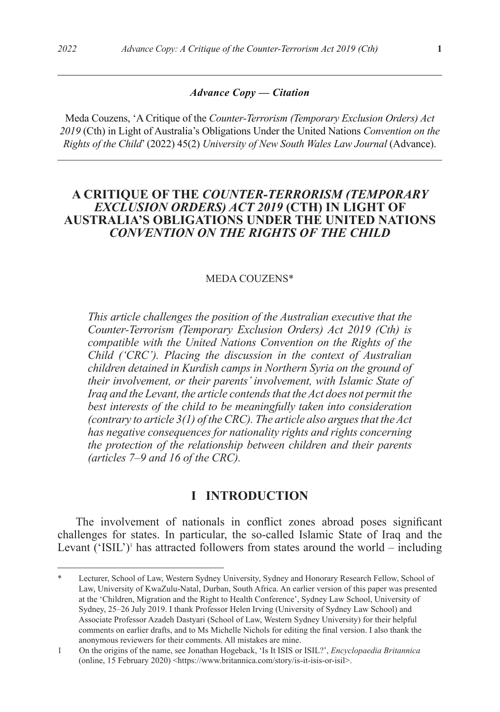Meda Couzens, 'A Critique of the *Counter-Terrorism (Temporary Exclusion Orders) Act 2019* (Cth) in Light of Australia's Obligations Under the United Nations *Convention on the Rights of the Child*' (2022) 45(2) *University of New South Wales Law Journal* (Advance).

# **A CRITIQUE OF THE** *COUNTER-TERRORISM (TEMPORARY EXCLUSION ORDERS) ACT 2019* **(CTH) IN LIGHT OF AUSTRALIA'S OBLIGATIONS UNDER THE UNITED NATIONS**  *CONVENTION ON THE RIGHTS OF THE CHILD*

#### MEDA COUZENS\*

*This article challenges the position of the Australian executive that the Counter-Terrorism (Temporary Exclusion Orders) Act 2019 (Cth) is compatible with the United Nations Convention on the Rights of the Child ('CRC'). Placing the discussion in the context of Australian children detained in Kurdish camps in Northern Syria on the ground of their involvement, or their parents' involvement, with Islamic State of Iraq and the Levant, the article contends that the Act does not permit the best interests of the child to be meaningfully taken into consideration (contrary to article 3(1) of the CRC). The article also argues that the Act has negative consequences for nationality rights and rights concerning the protection of the relationship between children and their parents (articles 7–9 and 16 of the CRC).*

## **I INTRODUCTION**

The involvement of nationals in conflict zones abroad poses significant challenges for states. In particular, the so-called Islamic State of Iraq and the Levant  $({}^{\circ}$ ISIL')<sup>1</sup> has attracted followers from states around the world – including

Lecturer, School of Law, Western Sydney University, Sydney and Honorary Research Fellow, School of Law, University of KwaZulu-Natal, Durban, South Africa. An earlier version of this paper was presented at the 'Children, Migration and the Right to Health Conference', Sydney Law School, University of Sydney, 25–26 July 2019. I thank Professor Helen Irving (University of Sydney Law School) and Associate Professor Azadeh Dastyari (School of Law, Western Sydney University) for their helpful comments on earlier drafts, and to Ms Michelle Nichols for editing the final version. I also thank the anonymous reviewers for their comments. All mistakes are mine.

<sup>1</sup> On the origins of the name, see Jonathan Hogeback, 'Is It ISIS or ISIL?', *Encyclopaedia Britannica* (online, 15 February 2020) <https://www.britannica.com/story/is-it-isis-or-isil>.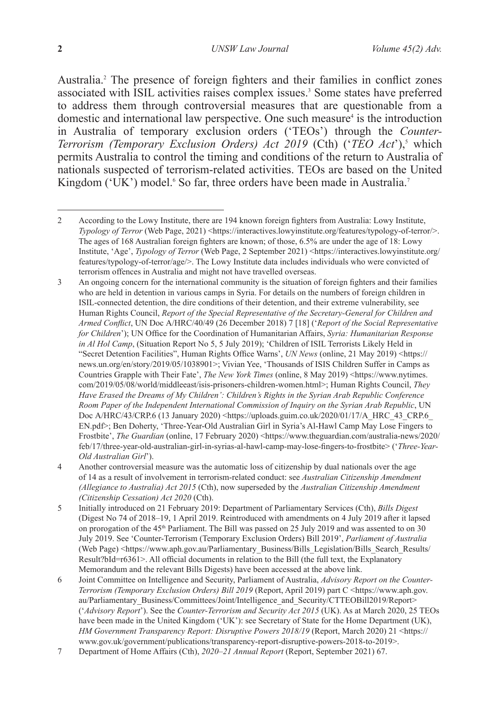Australia.2 The presence of foreign fighters and their families in conflict zones associated with ISIL activities raises complex issues.<sup>3</sup> Some states have preferred to address them through controversial measures that are questionable from a domestic and international law perspective. One such measure<sup>4</sup> is the introduction in Australia of temporary exclusion orders ('TEOs') through the *Counter-Terrorism (Temporary Exclusion Orders) Act 2019* (Cth) (*'TEO Act'*),<sup>5</sup> which permits Australia to control the timing and conditions of the return to Australia of nationals suspected of terrorism-related activities. TEOs are based on the United Kingdom ('UK') model.<sup>6</sup> So far, three orders have been made in Australia.<sup>7</sup>

3 An ongoing concern for the international community is the situation of foreign fighters and their families who are held in detention in various camps in Syria. For details on the numbers of foreign children in ISIL-connected detention, the dire conditions of their detention, and their extreme vulnerability, see Human Rights Council, *Report of the Special Representative of the Secretary-General for Children and Armed Conflict*, UN Doc A/HRC/40/49 (26 December 2018) 7 [18] ('*Report of the Social Representative for Children*'); UN Office for the Coordination of Humanitarian Affairs, *Syria: Humanitarian Response in Al Hol Camp*, (Situation Report No 5, 5 July 2019); 'Children of ISIL Terrorists Likely Held in "Secret Detention Facilities", Human Rights Office Warns', *UN News* (online, 21 May 2019) <https:// news.un.org/en/story/2019/05/1038901>; Vivian Yee, 'Thousands of ISIS Children Suffer in Camps as Countries Grapple with Their Fate', *The New York Times* (online, 8 May 2019) <https://www.nytimes. com/2019/05/08/world/middleeast/isis-prisoners-children-women.html>; Human Rights Council, *They Have Erased the Dreams of My Children': Children's Rights in the Syrian Arab Republic Conference Room Paper of the Independent International Commission of Inquiry on the Syrian Arab Republic*, UN Doc A/HRC/43/CRP.6 (13 January 2020) <https://uploads.guim.co.uk/2020/01/17/A\_HRC\_43\_CRP.6 EN.pdf>; Ben Doherty, 'Three-Year-Old Australian Girl in Syria's Al-Hawl Camp May Lose Fingers to Frostbite', *The Guardian* (online, 17 February 2020) <https://www.theguardian.com/australia-news/2020/ feb/17/three-year-old-australian-girl-in-syrias-al-hawl-camp-may-lose-fingers-to-frostbite> ('*Three-Year-Old Australian Girl*').

4 Another controversial measure was the automatic loss of citizenship by dual nationals over the age of 14 as a result of involvement in terrorism-related conduct: see *Australian Citizenship Amendment (Allegiance to Australia) Act 2015* (Cth), now superseded by the *Australian Citizenship Amendment (Citizenship Cessation) Act 2020* (Cth).

5 Initially introduced on 21 February 2019: Department of Parliamentary Services (Cth), *Bills Digest*  (Digest No 74 of 2018–19, 1 April 2019. Reintroduced with amendments on 4 July 2019 after it lapsed on prorogation of the 45<sup>th</sup> Parliament. The Bill was passed on 25 July 2019 and was assented to on 30 July 2019. See 'Counter-Terrorism (Temporary Exclusion Orders) Bill 2019', *Parliament of Australia* (Web Page) <https://www.aph.gov.au/Parliamentary\_Business/Bills\_Legislation/Bills\_Search\_Results/ Result?bId=r6361>. All official documents in relation to the Bill (the full text, the Explanatory Memorandum and the relevant Bills Digests) have been accessed at the above link.

6 Joint Committee on Intelligence and Security, Parliament of Australia, *Advisory Report on the Counter-Terrorism (Temporary Exclusion Orders) Bill 2019* (Report, April 2019) part C <https://www.aph.gov. au/Parliamentary\_Business/Committees/Joint/Intelligence\_and\_Security/CTTEOBill2019/Report> ('*Advisory Report*'). See the *Counter-Terrorism and Security Act 2015* (UK). As at March 2020, 25 TEOs have been made in the United Kingdom ('UK'): see Secretary of State for the Home Department (UK), *HM Government Transparency Report: Disruptive Powers 2018/19* (Report, March 2020) 21 <https:// www.gov.uk/government/publications/transparency-report-disruptive-powers-2018-to-2019>.

7 Department of Home Affairs (Cth), *2020–21 Annual Report* (Report, September 2021) 67.

<sup>2</sup> According to the Lowy Institute, there are 194 known foreign fighters from Australia: Lowy Institute, *Typology of Terror* (Web Page, 2021) <https://interactives.lowyinstitute.org/features/typology-of-terror/>. The ages of 168 Australian foreign fighters are known; of those, 6.5% are under the age of 18: Lowy Institute, 'Age', *Typology of Terror* (Web Page, 2 September 2021) <https://interactives.lowyinstitute.org/ features/typology-of-terror/age/>. The Lowy Institute data includes individuals who were convicted of terrorism offences in Australia and might not have travelled overseas.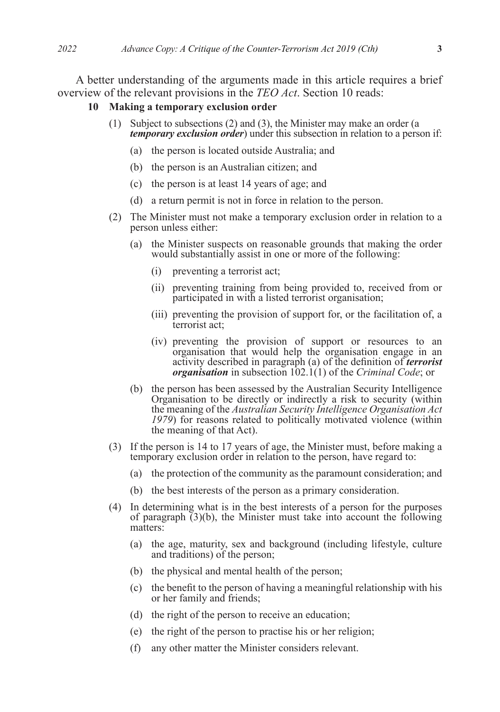A better understanding of the arguments made in this article requires a brief overview of the relevant provisions in the *TEO Act*. Section 10 reads:

#### **10 Making a temporary exclusion order**

- (1) Subject to subsections (2) and (3), the Minister may make an order (a *temporary exclusion order*) under this subsection in relation to a person if:
	- (a) the person is located outside Australia; and
	- (b) the person is an Australian citizen; and
	- (c) the person is at least 14 years of age; and
	- (d) a return permit is not in force in relation to the person.
- (2) The Minister must not make a temporary exclusion order in relation to a person unless either:
	- (a) the Minister suspects on reasonable grounds that making the order would substantially assist in one or more of the following:
		- (i) preventing a terrorist act;
		- (ii) preventing training from being provided to, received from or participated in with a listed terrorist organisation;
		- (iii) preventing the provision of support for, or the facilitation of, a terrorist act;
		- (iv) preventing the provision of support or resources to an organisation that would help the organisation engage in an activity described in paragraph (a) of the definition of *terrorist organisation* in subsection 102.1(1) of the *Criminal Code*; or
	- (b) the person has been assessed by the Australian Security Intelligence Organisation to be directly or indirectly a risk to security (within the meaning of the *Australian Security Intelligence Organisation Act 1979*) for reasons related to politically motivated violence (within the meaning of that Act).
- (3) If the person is 14 to 17 years of age, the Minister must, before making a temporary exclusion order in relation to the person, have regard to:
	- (a) the protection of the community as the paramount consideration; and
	- (b) the best interests of the person as a primary consideration.
- (4) In determining what is in the best interests of a person for the purposes of paragraph  $(3)(b)$ , the Minister must take into account the following matters:
	- (a) the age, maturity, sex and background (including lifestyle, culture and traditions) of the person;
	- (b) the physical and mental health of the person;
	- (c) the benefit to the person of having a meaningful relationship with his or her family and friends;
	- (d) the right of the person to receive an education;
	- (e) the right of the person to practise his or her religion;
	- (f) any other matter the Minister considers relevant.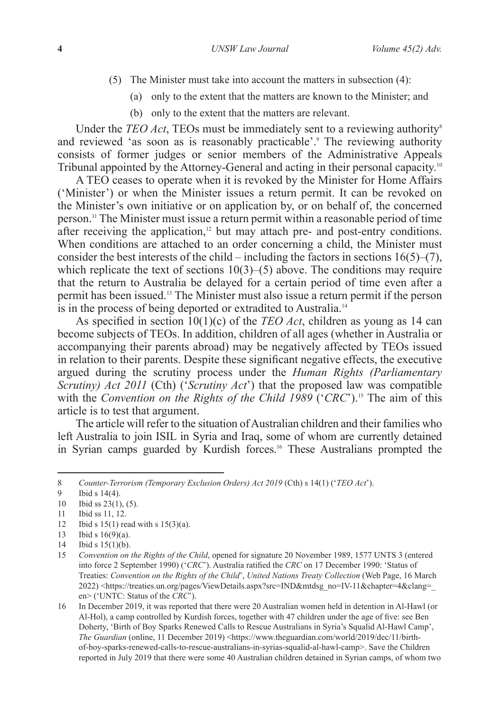- (5) The Minister must take into account the matters in subsection (4):
	- (a) only to the extent that the matters are known to the Minister; and
	- (b) only to the extent that the matters are relevant.

Under the *TEO Act*, TEOs must be immediately sent to a reviewing authority<sup>8</sup> and reviewed 'as soon as is reasonably practicable'.<sup>9</sup> The reviewing authority consists of former judges or senior members of the Administrative Appeals Tribunal appointed by the Attorney-General and acting in their personal capacity.<sup>10</sup>

A TEO ceases to operate when it is revoked by the Minister for Home Affairs ('Minister') or when the Minister issues a return permit. It can be revoked on the Minister's own initiative or on application by, or on behalf of, the concerned person.11 The Minister must issue a return permit within a reasonable period of time after receiving the application, $12$  but may attach pre- and post-entry conditions. When conditions are attached to an order concerning a child, the Minister must consider the best interests of the child – including the factors in sections  $16(5)$ –(7), which replicate the text of sections  $10(3)$ –(5) above. The conditions may require that the return to Australia be delayed for a certain period of time even after a permit has been issued.13 The Minister must also issue a return permit if the person is in the process of being deported or extradited to Australia.<sup>14</sup>

As specified in section 10(1)(c) of the *TEO Act*, children as young as 14 can become subjects of TEOs. In addition, children of all ages (whether in Australia or accompanying their parents abroad) may be negatively affected by TEOs issued in relation to their parents. Despite these significant negative effects, the executive argued during the scrutiny process under the *Human Rights (Parliamentary Scrutiny) Act 2011* (Cth) ('*Scrutiny Act*') that the proposed law was compatible with the *Convention on the Rights of the Child 1989* ('*CRC*').<sup>15</sup> The aim of this article is to test that argument.

The article will refer to the situation of Australian children and their families who left Australia to join ISIL in Syria and Iraq, some of whom are currently detained in Syrian camps guarded by Kurdish forces.<sup>16</sup> These Australians prompted the

- 12 Ibid s 15(1) read with s 15(3)(a).
- 13 Ibid s 16(9)(a).

<sup>8</sup> *Counter-Terrorism (Temporary Exclusion Orders) Act 2019* (Cth) s 14(1) ('*TEO Act*').

<sup>9</sup> Ibid s 14(4).

<sup>10</sup> Ibid ss 23(1), (5).

<sup>11</sup> Ibid ss 11, 12.

<sup>14</sup> Ibid s 15(1)(b).

<sup>15</sup> *Convention on the Rights of the Child*, opened for signature 20 November 1989, 1577 UNTS 3 (entered into force 2 September 1990) ('*CRC*'). Australia ratified the *CRC* on 17 December 1990: 'Status of Treaties: *Convention on the Rights of the Child*', *United Nations Treaty Collection* (Web Page, 16 March 2022) <https://treaties.un.org/pages/ViewDetails.aspx?src=IND&mtdsg\_no=IV-11&chapter=4&clang=\_ en> ('UNTC: Status of the *CRC*').

<sup>16</sup> In December 2019, it was reported that there were 20 Australian women held in detention in Al-Hawl (or Al-Hol), a camp controlled by Kurdish forces, together with 47 children under the age of five: see Ben Doherty, 'Birth of Boy Sparks Renewed Calls to Rescue Australians in Syria's Squalid Al-Hawl Camp', *The Guardian* (online, 11 December 2019) <https://www.theguardian.com/world/2019/dec/11/birthof-boy-sparks-renewed-calls-to-rescue-australians-in-syrias-squalid-al-hawl-camp>. Save the Children reported in July 2019 that there were some 40 Australian children detained in Syrian camps, of whom two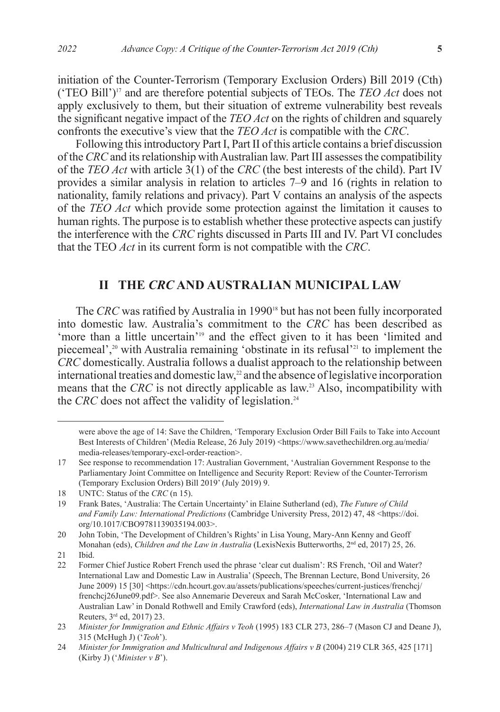initiation of the Counter-Terrorism (Temporary Exclusion Orders) Bill 2019 (Cth) ('TEO Bill')17 and are therefore potential subjects of TEOs. The *TEO Act* does not apply exclusively to them, but their situation of extreme vulnerability best reveals the significant negative impact of the *TEO Act* on the rights of children and squarely confronts the executive's view that the *TEO Act* is compatible with the *CRC*.

Following this introductory Part I, Part II of this article contains a brief discussion of the *CRC* and its relationship with Australian law. Part III assesses the compatibility of the *TEO Act* with article 3(1) of the *CRC* (the best interests of the child). Part IV provides a similar analysis in relation to articles 7–9 and 16 (rights in relation to nationality, family relations and privacy). Part V contains an analysis of the aspects of the *TEO Act* which provide some protection against the limitation it causes to human rights. The purpose is to establish whether these protective aspects can justify the interference with the *CRC* rights discussed in Parts III and IV. Part VI concludes that the TEO *Act* in its current form is not compatible with the *CRC*.

# **II THE** *CRC* **AND AUSTRALIAN MUNICIPAL LAW**

The *CRC* was ratified by Australia in 1990<sup>18</sup> but has not been fully incorporated into domestic law. Australia's commitment to the *CRC* has been described as 'more than a little uncertain'<sup>19</sup> and the effect given to it has been 'limited and piecemeal',20 with Australia remaining 'obstinate in its refusal'21 to implement the *CRC* domestically. Australia follows a dualist approach to the relationship between international treaties and domestic law,<sup>22</sup> and the absence of legislative incorporation means that the *CRC* is not directly applicable as law.<sup>23</sup> Also, incompatibility with the *CRC* does not affect the validity of legislation.<sup>24</sup>

20 John Tobin, 'The Development of Children's Rights' in Lisa Young, Mary-Ann Kenny and Geoff Monahan (eds), *Children and the Law in Australia* (LexisNexis Butterworths, 2nd ed, 2017) 25, 26.

were above the age of 14: Save the Children, 'Temporary Exclusion Order Bill Fails to Take into Account Best Interests of Children' (Media Release, 26 July 2019) <https://www.savethechildren.org.au/media/ media-releases/temporary-excl-order-reaction>.

<sup>17</sup> See response to recommendation 17: Australian Government, 'Australian Government Response to the Parliamentary Joint Committee on Intelligence and Security Report: Review of the Counter-Terrorism (Temporary Exclusion Orders) Bill 2019' (July 2019) 9.

<sup>18</sup> UNTC: Status of the *CRC* (n 15).

<sup>19</sup> Frank Bates, 'Australia: The Certain Uncertainty' in Elaine Sutherland (ed), *The Future of Child and Family Law: International Predictions* (Cambridge University Press, 2012) 47, 48 <https://doi. org/10.1017/CBO9781139035194.003>.

 $21$  Ibid.<br> $22$  Eorm

<sup>22</sup> Former Chief Justice Robert French used the phrase 'clear cut dualism': RS French, 'Oil and Water? International Law and Domestic Law in Australia' (Speech, The Brennan Lecture, Bond University, 26 June 2009) 15 [30] <https://cdn.hcourt.gov.au/assets/publications/speeches/current-justices/frenchcj/ frenchcj26June09.pdf>. See also Annemarie Devereux and Sarah McCosker, 'International Law and Australian Law' in Donald Rothwell and Emily Crawford (eds), *International Law in Australia* (Thomson Reuters, 3rd ed, 2017) 23.

<sup>23</sup> *Minister for Immigration and Ethnic Affairs v Teoh* (1995) 183 CLR 273, 286–7 (Mason CJ and Deane J), 315 (McHugh J) ('*Teoh*').

<sup>24</sup> *Minister for Immigration and Multicultural and Indigenous Affairs v B* (2004) 219 CLR 365, 425 [171] (Kirby J) ('*Minister v B*').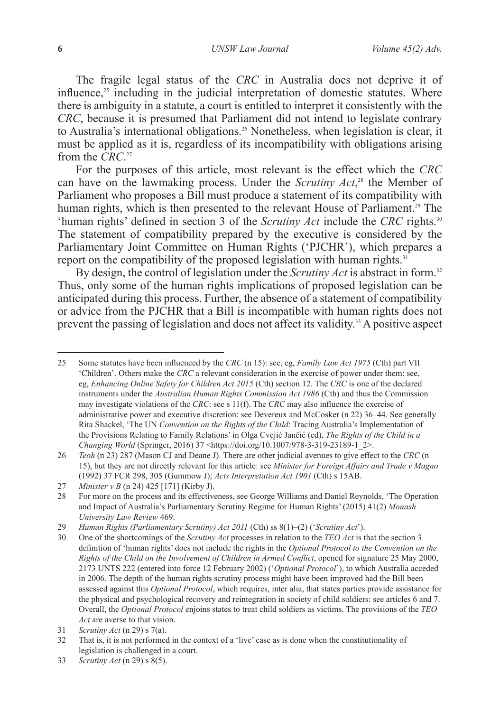The fragile legal status of the *CRC* in Australia does not deprive it of influence, $25$  including in the judicial interpretation of domestic statutes. Where there is ambiguity in a statute, a court is entitled to interpret it consistently with the *CRC*, because it is presumed that Parliament did not intend to legislate contrary to Australia's international obligations.<sup>26</sup> Nonetheless, when legislation is clear, it must be applied as it is, regardless of its incompatibility with obligations arising from the *CRC*. 27

For the purposes of this article, most relevant is the effect which the *CRC* can have on the lawmaking process. Under the *Scrutiny Act*, 28 the Member of Parliament who proposes a Bill must produce a statement of its compatibility with human rights, which is then presented to the relevant House of Parliament.<sup>29</sup> The 'human rights' defined in section 3 of the *Scrutiny Act* include the *CRC* rights.30 The statement of compatibility prepared by the executive is considered by the Parliamentary Joint Committee on Human Rights ('PJCHR'), which prepares a report on the compatibility of the proposed legislation with human rights.<sup>31</sup>

By design, the control of legislation under the *Scrutiny Act* is abstract in form.<sup>32</sup> Thus, only some of the human rights implications of proposed legislation can be anticipated during this process. Further, the absence of a statement of compatibility or advice from the PJCHR that a Bill is incompatible with human rights does not prevent the passing of legislation and does not affect its validity.33 A positive aspect

<sup>25</sup> Some statutes have been influenced by the *CRC* (n 15): see, eg, *Family Law Act 1975* (Cth) part VII 'Children'. Others make the *CRC* a relevant consideration in the exercise of power under them: see, eg, *Enhancing Online Safety for Children Act 2015* (Cth) section 12. The *CRC* is one of the declared instruments under the *Australian Human Rights Commission Act 1986* (Cth) and thus the Commission may investigate violations of the *CRC*: see s 11(f). The *CRC* may also influence the exercise of administrative power and executive discretion: see Devereux and McCosker (n 22) 36–44. See generally Rita Shackel, 'The UN *Convention on the Rights of the Child*: Tracing Australia's Implementation of the Provisions Relating to Family Relations' in Olga Cvejić Jančić (ed), *The Rights of the Child in a Changing World* (Springer, 2016) 37 <https://doi.org/10.1007/978-3-319-23189-1\_2>.

<sup>26</sup> *Teoh* (n 23) 287 (Mason CJ and Deane J). There are other judicial avenues to give effect to the *CRC* (n 15), but they are not directly relevant for this article: see *Minister for Foreign Affairs and Trade v Magno* (1992) 37 FCR 298, 305 (Gummow J); *Acts Interpretation Act 1901* (Cth) s 15AB.

<sup>27</sup> *Minister v B* (n 24) 425 [171] (Kirby J).

<sup>28</sup> For more on the process and its effectiveness, see George Williams and Daniel Reynolds, 'The Operation and Impact of Australia's Parliamentary Scrutiny Regime for Human Rights' (2015) 41(2) *Monash University Law Review* 469.

<sup>29</sup> *Human Rights (Parliamentary Scrutiny) Act 2011* (Cth) ss 8(1)–(2) ('*Scrutiny Act*').

<sup>30</sup> One of the shortcomings of the *Scrutiny Act* processes in relation to the *TEO Act* is that the section 3 definition of 'human rights' does not include the rights in the *Optional Protocol to the Convention on the Rights of the Child on the Involvement of Children in Armed Conflict*, opened for signature 25 May 2000, 2173 UNTS 222 (entered into force 12 February 2002) ('*Optional Protocol*'), to which Australia acceded in 2006. The depth of the human rights scrutiny process might have been improved had the Bill been assessed against this *Optional Protocol*, which requires, inter alia, that states parties provide assistance for the physical and psychological recovery and reintegration in society of child soldiers: see articles 6 and 7. Overall, the *Optional Protocol* enjoins states to treat child soldiers as victims. The provisions of the *TEO Act* are averse to that vision.

<sup>31</sup> *Scrutiny Act* (n 29) s 7(a).

<sup>32</sup> That is, it is not performed in the context of a 'live' case as is done when the constitutionality of legislation is challenged in a court.

<sup>33</sup> *Scrutiny Act* (n 29) s 8(5).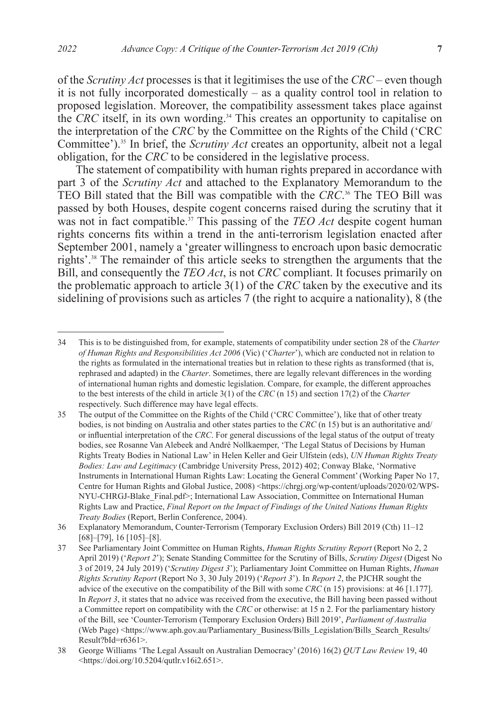of the *Scrutiny Act* processes is that it legitimises the use of the *CRC* – even though it is not fully incorporated domestically – as a quality control tool in relation to proposed legislation. Moreover, the compatibility assessment takes place against the *CRC* itself, in its own wording.34 This creates an opportunity to capitalise on the interpretation of the *CRC* by the Committee on the Rights of the Child ('CRC Committee').35 In brief, the *Scrutiny Act* creates an opportunity, albeit not a legal obligation, for the *CRC* to be considered in the legislative process.

The statement of compatibility with human rights prepared in accordance with part 3 of the *Scrutiny Act* and attached to the Explanatory Memorandum to the TEO Bill stated that the Bill was compatible with the *CRC*. <sup>36</sup> The TEO Bill was passed by both Houses, despite cogent concerns raised during the scrutiny that it was not in fact compatible.<sup>37</sup> This passing of the *TEO Act* despite cogent human rights concerns fits within a trend in the anti-terrorism legislation enacted after September 2001, namely a 'greater willingness to encroach upon basic democratic rights'.38 The remainder of this article seeks to strengthen the arguments that the Bill, and consequently the *TEO Act*, is not *CRC* compliant. It focuses primarily on the problematic approach to article 3(1) of the *CRC* taken by the executive and its sidelining of provisions such as articles 7 (the right to acquire a nationality), 8 (the

<sup>34</sup> This is to be distinguished from, for example, statements of compatibility under section 28 of the *Charter of Human Rights and Responsibilities Act 2006* (Vic) ('*Charter*'), which are conducted not in relation to the rights as formulated in the international treaties but in relation to these rights as transformed (that is, rephrased and adapted) in the *Charter*. Sometimes, there are legally relevant differences in the wording of international human rights and domestic legislation. Compare, for example, the different approaches to the best interests of the child in article 3(1) of the *CRC* (n 15) and section 17(2) of the *Charter* respectively. Such difference may have legal effects.

<sup>35</sup> The output of the Committee on the Rights of the Child ('CRC Committee'), like that of other treaty bodies, is not binding on Australia and other states parties to the *CRC* (n 15) but is an authoritative and/ or influential interpretation of the *CRC*. For general discussions of the legal status of the output of treaty bodies, see Rosanne Van Alebeek and André Nollkaemper, 'The Legal Status of Decisions by Human Rights Treaty Bodies in National Law' in Helen Keller and Geir Ulfstein (eds), *UN Human Rights Treaty Bodies: Law and Legitimacy* (Cambridge University Press, 2012) 402; Conway Blake, 'Normative Instruments in International Human Rights Law: Locating the General Comment' (Working Paper No 17, Centre for Human Rights and Global Justice, 2008) <https://chrgj.org/wp-content/uploads/2020/02/WPS-NYU-CHRGJ-Blake\_Final.pdf>; International Law Association, Committee on International Human Rights Law and Practice, *Final Report on the Impact of Findings of the United Nations Human Rights Treaty Bodies* (Report, Berlin Conference, 2004).

<sup>36</sup> Explanatory Memorandum, Counter-Terrorism (Temporary Exclusion Orders) Bill 2019 (Cth) 11–12 [68]–[79], 16 [105]–[8].

<sup>37</sup> See Parliamentary Joint Committee on Human Rights, *Human Rights Scrutiny Report* (Report No 2, 2 April 2019) ('*Report 2*'); Senate Standing Committee for the Scrutiny of Bills, *Scrutiny Digest* (Digest No 3 of 2019, 24 July 2019) ('*Scrutiny Digest 3*'); Parliamentary Joint Committee on Human Rights, *Human Rights Scrutiny Report* (Report No 3, 30 July 2019) ('*Report 3*'). In *Report 2*, the PJCHR sought the advice of the executive on the compatibility of the Bill with some *CRC* (n 15) provisions: at 46 [1.177]. In *Report 3*, it states that no advice was received from the executive, the Bill having been passed without a Committee report on compatibility with the *CRC* or otherwise: at 15 n 2. For the parliamentary history of the Bill, see 'Counter-Terrorism (Temporary Exclusion Orders) Bill 2019', *Parliament of Australia* (Web Page) <https://www.aph.gov.au/Parliamentary\_Business/Bills\_Legislation/Bills\_Search\_Results/ Result?bId=r6361>.

<sup>38</sup> George Williams 'The Legal Assault on Australian Democracy' (2016) 16(2) *QUT Law Review* 19, 40 <https://doi.org/10.5204/qutlr.v16i2.651>.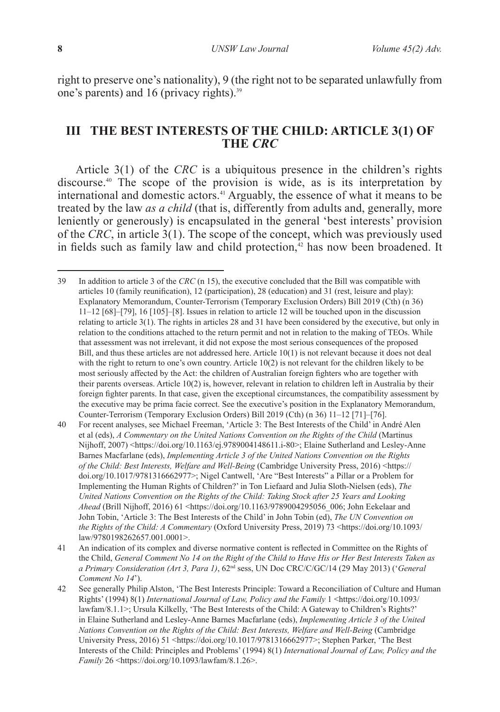right to preserve one's nationality), 9 (the right not to be separated unlawfully from one's parents) and 16 (privacy rights). $39$ 

# **III THE BEST INTERESTS OF THE CHILD: ARTICLE 3(1) OF THE** *CRC*

Article 3(1) of the *CRC* is a ubiquitous presence in the children's rights discourse.40 The scope of the provision is wide, as is its interpretation by international and domestic actors.<sup>41</sup> Arguably, the essence of what it means to be treated by the law *as a child* (that is, differently from adults and, generally, more leniently or generously) is encapsulated in the general 'best interests' provision of the *CRC*, in article 3(1). The scope of the concept, which was previously used in fields such as family law and child protection, $42$  has now been broadened. It

<sup>39</sup> In addition to article 3 of the *CRC* (n 15), the executive concluded that the Bill was compatible with articles 10 (family reunification), 12 (participation), 28 (education) and 31 (rest, leisure and play): Explanatory Memorandum, Counter-Terrorism (Temporary Exclusion Orders) Bill 2019 (Cth) (n 36) 11–12 [68]–[79], 16 [105]–[8]. Issues in relation to article 12 will be touched upon in the discussion relating to article 3(1). The rights in articles 28 and 31 have been considered by the executive, but only in relation to the conditions attached to the return permit and not in relation to the making of TEOs. While that assessment was not irrelevant, it did not expose the most serious consequences of the proposed Bill, and thus these articles are not addressed here. Article 10(1) is not relevant because it does not deal with the right to return to one's own country. Article 10(2) is not relevant for the children likely to be most seriously affected by the Act: the children of Australian foreign fighters who are together with their parents overseas. Article 10(2) is, however, relevant in relation to children left in Australia by their foreign fighter parents. In that case, given the exceptional circumstances, the compatibility assessment by the executive may be prima facie correct. See the executive's position in the Explanatory Memorandum, Counter-Terrorism (Temporary Exclusion Orders) Bill 2019 (Cth) (n 36) 11–12 [71]–[76].

<sup>40</sup> For recent analyses, see Michael Freeman, 'Article 3: The Best Interests of the Child' in André Alen et al (eds), *A Commentary on the United Nations Convention on the Rights of the Child* (Martinus Nijhoff, 2007) <https://doi.org/10.1163/ej.9789004148611.i-80>; Elaine Sutherland and Lesley-Anne Barnes Macfarlane (eds), *Implementing Article 3 of the United Nations Convention on the Rights of the Child: Best Interests, Welfare and Well-Being* (Cambridge University Press, 2016) <https:// doi.org/10.1017/9781316662977>; Nigel Cantwell, 'Are "Best Interests" a Pillar or a Problem for Implementing the Human Rights of Children?' in Ton Liefaard and Julia Sloth-Nielsen (eds), *The United Nations Convention on the Rights of the Child: Taking Stock after 25 Years and Looking Ahead* (Brill Nijhoff, 2016) 61 <https://doi.org/10.1163/9789004295056\_006; John Eekelaar and John Tobin, 'Article 3: The Best Interests of the Child' in John Tobin (ed), *The UN Convention on the Rights of the Child: A Commentary* (Oxford University Press, 2019) 73 <https://doi.org/10.1093/ law/9780198262657.001.0001>.

<sup>41</sup> An indication of its complex and diverse normative content is reflected in Committee on the Rights of the Child, *General Comment No 14 on the Right of the Child to Have His or Her Best Interests Taken as a Primary Consideration (Art 3, Para 1)*, 62nd sess, UN Doc CRC/C/GC/14 (29 May 2013) ('*General Comment No 14*').

<sup>42</sup> See generally Philip Alston, 'The Best Interests Principle: Toward a Reconciliation of Culture and Human Rights' (1994) 8(1) *International Journal of Law, Policy and the Family* 1 <https://doi.org/10.1093/ lawfam/8.1.1>; Ursula Kilkelly, 'The Best Interests of the Child: A Gateway to Children's Rights?' in Elaine Sutherland and Lesley-Anne Barnes Macfarlane (eds), *Implementing Article 3 of the United Nations Convention on the Rights of the Child: Best Interests, Welfare and Well-Being* (Cambridge University Press, 2016) 51 <https://doi.org/10.1017/9781316662977>; Stephen Parker, 'The Best Interests of the Child: Principles and Problems' (1994) 8(1) *International Journal of Law, Policy and the Family* 26 <https://doi.org/10.1093/lawfam/8.1.26>.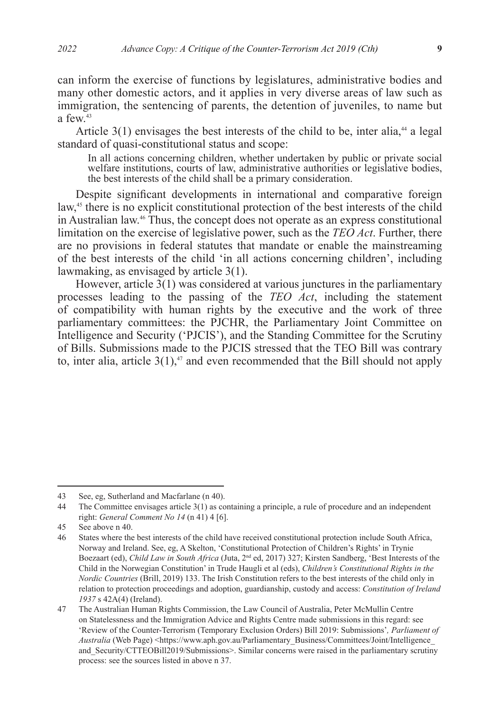can inform the exercise of functions by legislatures, administrative bodies and many other domestic actors, and it applies in very diverse areas of law such as immigration, the sentencing of parents, the detention of juveniles, to name but a few  $43$ 

Article  $3(1)$  envisages the best interests of the child to be, inter alia,<sup>44</sup> a legal standard of quasi-constitutional status and scope:

In all actions concerning children, whether undertaken by public or private social welfare institutions, courts of law, administrative authorities or legislative bodies, the best interests of the child shall be a primary consideration.

Despite significant developments in international and comparative foreign law,<sup>45</sup> there is no explicit constitutional protection of the best interests of the child in Australian law.46 Thus, the concept does not operate as an express constitutional limitation on the exercise of legislative power, such as the *TEO Act*. Further, there are no provisions in federal statutes that mandate or enable the mainstreaming of the best interests of the child 'in all actions concerning children', including lawmaking, as envisaged by article 3(1).

However, article 3(1) was considered at various junctures in the parliamentary processes leading to the passing of the *TEO Act*, including the statement of compatibility with human rights by the executive and the work of three parliamentary committees: the PJCHR, the Parliamentary Joint Committee on Intelligence and Security ('PJCIS'), and the Standing Committee for the Scrutiny of Bills. Submissions made to the PJCIS stressed that the TEO Bill was contrary to, inter alia, article  $3(1)$ ,<sup>47</sup> and even recommended that the Bill should not apply

<sup>43</sup> See, eg, Sutherland and Macfarlane (n 40).

<sup>44</sup> The Committee envisages article 3(1) as containing a principle, a rule of procedure and an independent right: *General Comment No 14* (n 41) 4 [6].

<sup>45</sup> See above n 40.

<sup>46</sup> States where the best interests of the child have received constitutional protection include South Africa, Norway and Ireland. See, eg, A Skelton, 'Constitutional Protection of Children's Rights' in Trynie Boezaart (ed), *Child Law in South Africa* (Juta, 2nd ed, 2017) 327; Kirsten Sandberg, 'Best Interests of the Child in the Norwegian Constitution' in Trude Haugli et al (eds), *Children's Constitutional Rights in the Nordic Countries* (Brill, 2019) 133. The Irish Constitution refers to the best interests of the child only in relation to protection proceedings and adoption, guardianship, custody and access: *Constitution of Ireland 1937* s 42A(4) (Ireland).

<sup>47</sup> The Australian Human Rights Commission, the Law Council of Australia, Peter McMullin Centre on Statelessness and the Immigration Advice and Rights Centre made submissions in this regard: see 'Review of the Counter-Terrorism (Temporary Exclusion Orders) Bill 2019: Submissions'*, Parliament of Australia* (Web Page) <https://www.aph.gov.au/Parliamentary\_Business/Committees/Joint/Intelligence\_ and Security/CTTEOBill2019/Submissions>. Similar concerns were raised in the parliamentary scrutiny process: see the sources listed in above n 37.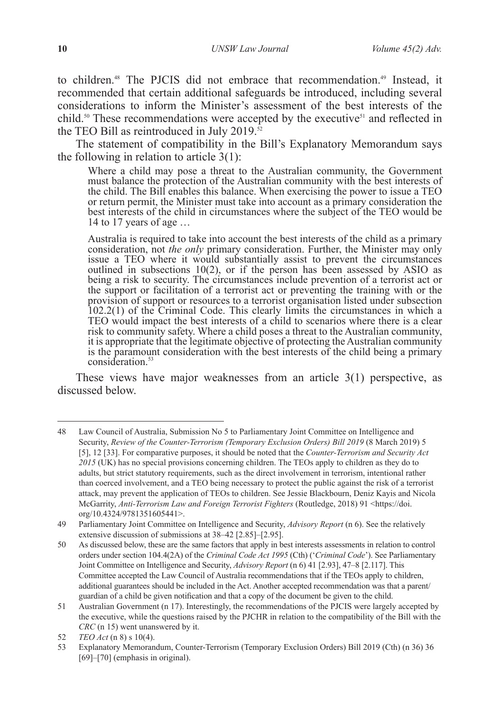to children.<sup>48</sup> The PJCIS did not embrace that recommendation.<sup>49</sup> Instead, it recommended that certain additional safeguards be introduced, including several considerations to inform the Minister's assessment of the best interests of the child.<sup>50</sup> These recommendations were accepted by the executive<sup>51</sup> and reflected in the TEO Bill as reintroduced in July 2019. $\frac{1}{52}$ 

The statement of compatibility in the Bill's Explanatory Memorandum says the following in relation to article 3(1):

Where a child may pose a threat to the Australian community, the Government must balance the protection of the Australian community with the best interests of the child. The Bill enables this balance. When exercising the power to issue a TEO or return permit, the Minister must take into account as a primary consideration the best interests of the child in circumstances where the subject of the TEO would be 14 to 17 years of age …

Australia is required to take into account the best interests of the child as a primary consideration, not *the only* primary consideration. Further, the Minister may only issue a TEO where it would substantially assist to prevent the circumstances outlined in subsections 10(2), or if the person has been assessed by ASIO as being a risk to security. The circumstances include prevention of a terrorist act or the support or facilitation of a terrorist act or preventing the training with or the provision of support or resources to a terrorist organisation listed under subsection 102.2(1) of the Criminal Code. This clearly limits the circumstances in which a TEO would impact the best interests of a child to scenarios where there is a clear risk to community safety. Where a child poses a threat to the Australian community, it is appropriate that the legitimate objective of protecting the Australian community is the paramount consideration with the best interests of the child being a primary consideration.<sup>53</sup>

These views have major weaknesses from an article 3(1) perspective, as discussed below.

<sup>48</sup> Law Council of Australia, Submission No 5 to Parliamentary Joint Committee on Intelligence and Security, *Review of the Counter-Terrorism (Temporary Exclusion Orders) Bill 2019* (8 March 2019) 5 [5], 12 [33]. For comparative purposes, it should be noted that the *Counter-Terrorism and Security Act 2015* (UK) has no special provisions concerning children. The TEOs apply to children as they do to adults, but strict statutory requirements, such as the direct involvement in terrorism, intentional rather than coerced involvement, and a TEO being necessary to protect the public against the risk of a terrorist attack, may prevent the application of TEOs to children. See Jessie Blackbourn, Deniz Kayis and Nicola McGarrity, Anti-Terrorism Law and Foreign Terrorist Fighters (Routledge, 2018) 91 <https://doi. org/10.4324/9781351605441>.

<sup>49</sup> Parliamentary Joint Committee on Intelligence and Security, *Advisory Report* (n 6). See the relatively extensive discussion of submissions at 38–42 [2.85]–[2.95].

<sup>50</sup> As discussed below, these are the same factors that apply in best interests assessments in relation to control orders under section 104.4(2A) of the *Criminal Code Act 1995* (Cth) ('*Criminal Code*'). See Parliamentary Joint Committee on Intelligence and Security, *Advisory Report* (n 6) 41 [2.93], 47–8 [2.117]. This Committee accepted the Law Council of Australia recommendations that if the TEOs apply to children, additional guarantees should be included in the Act. Another accepted recommendation was that a parent/ guardian of a child be given notification and that a copy of the document be given to the child.

<sup>51</sup> Australian Government (n 17). Interestingly, the recommendations of the PJCIS were largely accepted by the executive, while the questions raised by the PJCHR in relation to the compatibility of the Bill with the *CRC* (n 15) went unanswered by it.

<sup>52</sup> *TEO Act* (n 8) s 10(4).

<sup>53</sup> Explanatory Memorandum, Counter-Terrorism (Temporary Exclusion Orders) Bill 2019 (Cth) (n 36) 36 [69]–[70] (emphasis in original).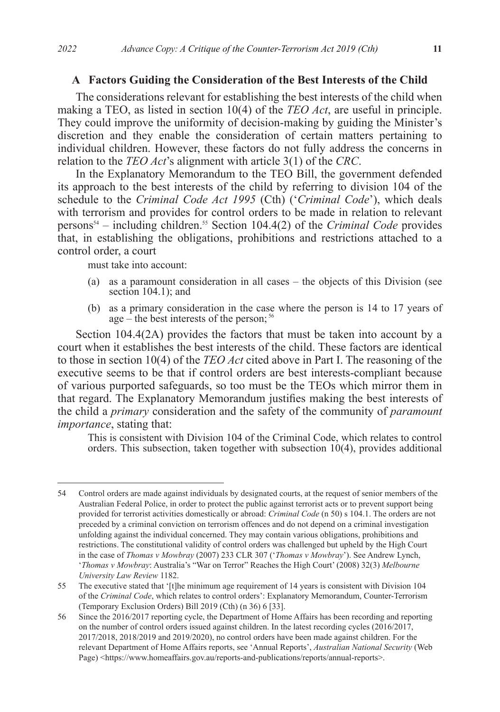### **A Factors Guiding the Consideration of the Best Interests of the Child**

The considerations relevant for establishing the best interests of the child when making a TEO, as listed in section 10(4) of the *TEO Act*, are useful in principle. They could improve the uniformity of decision-making by guiding the Minister's discretion and they enable the consideration of certain matters pertaining to individual children. However, these factors do not fully address the concerns in relation to the *TEO Act*'s alignment with article 3(1) of the *CRC*.

In the Explanatory Memorandum to the TEO Bill, the government defended its approach to the best interests of the child by referring to division 104 of the schedule to the *Criminal Code Act 1995* (Cth) ('*Criminal Code*'), which deals with terrorism and provides for control orders to be made in relation to relevant persons54 – including children.55 Section 104.4(2) of the *Criminal Code* provides that, in establishing the obligations, prohibitions and restrictions attached to a control order, a court

must take into account:

- (a) as a paramount consideration in all cases the objects of this Division (see section 104.1); and
- (b) as a primary consideration in the case where the person is 14 to 17 years of age – the best interests of the person;  $56$

Section 104.4(2A) provides the factors that must be taken into account by a court when it establishes the best interests of the child. These factors are identical to those in section 10(4) of the *TEO Act* cited above in Part I. The reasoning of the executive seems to be that if control orders are best interests-compliant because of various purported safeguards, so too must be the TEOs which mirror them in that regard. The Explanatory Memorandum justifies making the best interests of the child a *primary* consideration and the safety of the community of *paramount importance*, stating that:

This is consistent with Division 104 of the Criminal Code, which relates to control orders. This subsection, taken together with subsection 10(4), provides additional

<sup>54</sup> Control orders are made against individuals by designated courts, at the request of senior members of the Australian Federal Police, in order to protect the public against terrorist acts or to prevent support being provided for terrorist activities domestically or abroad: *Criminal Code* (n 50) s 104.1. The orders are not preceded by a criminal conviction on terrorism offences and do not depend on a criminal investigation unfolding against the individual concerned. They may contain various obligations, prohibitions and restrictions. The constitutional validity of control orders was challenged but upheld by the High Court in the case of *Thomas v Mowbray* (2007) 233 CLR 307 ('*Thomas v Mowbray*'). See Andrew Lynch, '*Thomas v Mowbray*: Australia's "War on Terror" Reaches the High Court' (2008) 32(3) *Melbourne University Law Review* 1182.

<sup>55</sup> The executive stated that '[t]he minimum age requirement of 14 years is consistent with Division 104 of the *Criminal Code*, which relates to control orders': Explanatory Memorandum, Counter-Terrorism (Temporary Exclusion Orders) Bill 2019 (Cth) (n 36) 6 [33].

<sup>56</sup> Since the 2016/2017 reporting cycle, the Department of Home Affairs has been recording and reporting on the number of control orders issued against children. In the latest recording cycles (2016/2017, 2017/2018, 2018/2019 and 2019/2020), no control orders have been made against children. For the relevant Department of Home Affairs reports, see 'Annual Reports', *Australian National Security* (Web Page) <https://www.homeaffairs.gov.au/reports-and-publications/reports/annual-reports>.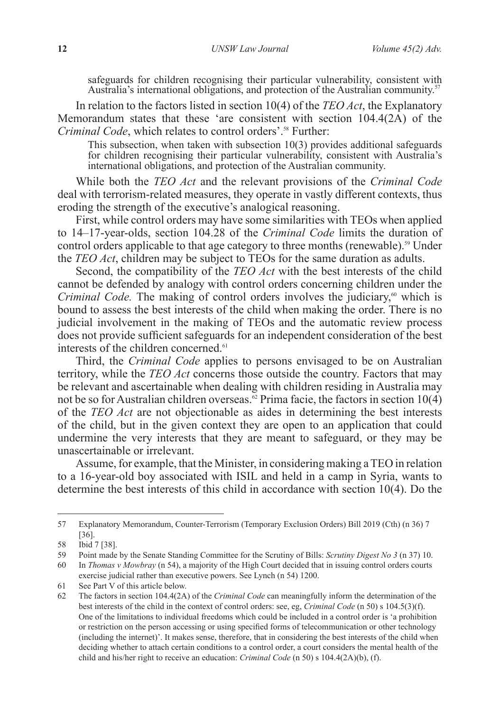safeguards for children recognising their particular vulnerability, consistent with Australia's international obligations, and protection of the Australian community.<sup>57</sup>

In relation to the factors listed in section 10(4) of the *TEO Act*, the Explanatory Memorandum states that these 'are consistent with section  $104.4(2\text{\AA})$  of the *Criminal Code*, which relates to control orders'.<sup>58</sup> Further:

This subsection, when taken with subsection 10(3) provides additional safeguards for children recognising their particular vulnerability, consistent with Australia's international obligations, and protection of the Australian community.

While both the *TEO Act* and the relevant provisions of the *Criminal Code* deal with terrorism-related measures, they operate in vastly different contexts, thus eroding the strength of the executive's analogical reasoning.

First, while control orders may have some similarities with TEOs when applied to 14–17-year-olds, section 104.28 of the *Criminal Code* limits the duration of control orders applicable to that age category to three months (renewable).<sup>59</sup> Under the *TEO Act*, children may be subject to TEOs for the same duration as adults.

Second, the compatibility of the *TEO Act* with the best interests of the child cannot be defended by analogy with control orders concerning children under the *Criminal Code.* The making of control orders involves the judiciary,<sup>60</sup> which is bound to assess the best interests of the child when making the order. There is no judicial involvement in the making of TEOs and the automatic review process does not provide sufficient safeguards for an independent consideration of the best interests of the children concerned.<sup>61</sup>

Third, the *Criminal Code* applies to persons envisaged to be on Australian territory, while the *TEO Act* concerns those outside the country. Factors that may be relevant and ascertainable when dealing with children residing in Australia may not be so for Australian children overseas.<sup> $\tilde{\omega}$ </sup> Prima facie, the factors in section 10(4) of the *TEO Act* are not objectionable as aides in determining the best interests of the child, but in the given context they are open to an application that could undermine the very interests that they are meant to safeguard, or they may be unascertainable or irrelevant.

Assume, for example, that the Minister, in considering making a TEO in relation to a 16-year-old boy associated with ISIL and held in a camp in Syria, wants to determine the best interests of this child in accordance with section 10(4). Do the

<sup>57</sup> Explanatory Memorandum, Counter-Terrorism (Temporary Exclusion Orders) Bill 2019 (Cth) (n 36) 7 [36].

<sup>58</sup> Ibid 7 [38].

<sup>59</sup> Point made by the Senate Standing Committee for the Scrutiny of Bills: *Scrutiny Digest No 3* (n 37) 10.

<sup>60</sup> In *Thomas v Mowbray* (n 54), a majority of the High Court decided that in issuing control orders courts exercise judicial rather than executive powers. See Lynch (n 54) 1200.

<sup>61</sup> See Part V of this article below.

<sup>62</sup> The factors in section 104.4(2A) of the *Criminal Code* can meaningfully inform the determination of the best interests of the child in the context of control orders: see, eg, *Criminal Code* (n 50) s 104.5(3)(f). One of the limitations to individual freedoms which could be included in a control order is 'a prohibition or restriction on the person accessing or using specified forms of telecommunication or other technology (including the internet)'. It makes sense, therefore, that in considering the best interests of the child when deciding whether to attach certain conditions to a control order, a court considers the mental health of the child and his/her right to receive an education: *Criminal Code* (n 50) s 104.4(2A)(b), (f).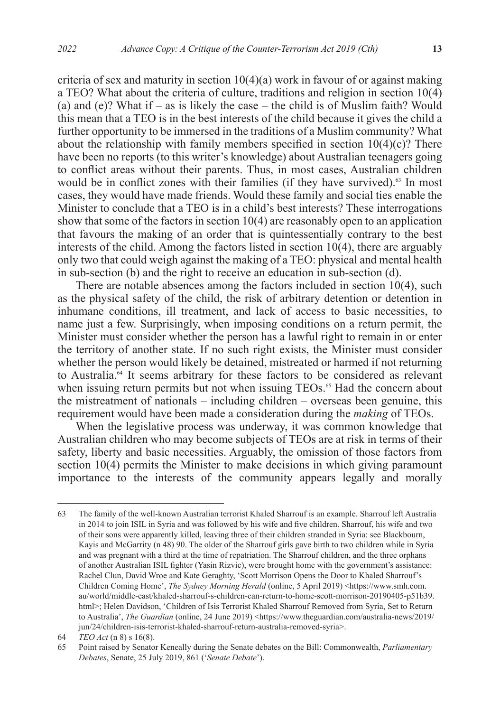criteria of sex and maturity in section  $10(4)(a)$  work in favour of or against making a TEO? What about the criteria of culture, traditions and religion in section 10(4) (a) and (e)? What if – as is likely the case – the child is of Muslim faith? Would this mean that a TEO is in the best interests of the child because it gives the child a further opportunity to be immersed in the traditions of a Muslim community? What about the relationship with family members specified in section  $10(4)(c)$ ? There have been no reports (to this writer's knowledge) about Australian teenagers going to conflict areas without their parents. Thus, in most cases, Australian children would be in conflict zones with their families (if they have survived).<sup>63</sup> In most cases, they would have made friends. Would these family and social ties enable the Minister to conclude that a TEO is in a child's best interests? These interrogations show that some of the factors in section 10(4) are reasonably open to an application that favours the making of an order that is quintessentially contrary to the best interests of the child. Among the factors listed in section 10(4), there are arguably only two that could weigh against the making of a TEO: physical and mental health in sub-section (b) and the right to receive an education in sub-section (d).

There are notable absences among the factors included in section 10(4), such as the physical safety of the child, the risk of arbitrary detention or detention in inhumane conditions, ill treatment, and lack of access to basic necessities, to name just a few. Surprisingly, when imposing conditions on a return permit, the Minister must consider whether the person has a lawful right to remain in or enter the territory of another state. If no such right exists, the Minister must consider whether the person would likely be detained, mistreated or harmed if not returning to Australia.<sup>64</sup> It seems arbitrary for these factors to be considered as relevant when issuing return permits but not when issuing TEOs.<sup>65</sup> Had the concern about the mistreatment of nationals – including children – overseas been genuine, this requirement would have been made a consideration during the *making* of TEOs.

When the legislative process was underway, it was common knowledge that Australian children who may become subjects of TEOs are at risk in terms of their safety, liberty and basic necessities. Arguably, the omission of those factors from section 10(4) permits the Minister to make decisions in which giving paramount importance to the interests of the community appears legally and morally

<sup>63</sup> The family of the well-known Australian terrorist Khaled Sharrouf is an example. Sharrouf left Australia in 2014 to join ISIL in Syria and was followed by his wife and five children. Sharrouf, his wife and two of their sons were apparently killed, leaving three of their children stranded in Syria: see Blackbourn, Kayis and McGarrity (n 48) 90. The older of the Sharrouf girls gave birth to two children while in Syria and was pregnant with a third at the time of repatriation. The Sharrouf children, and the three orphans of another Australian ISIL fighter (Yasin Rizvic), were brought home with the government's assistance: Rachel Clun, David Wroe and Kate Geraghty, 'Scott Morrison Opens the Door to Khaled Sharrouf's Children Coming Home', *The Sydney Morning Herald* (online, 5 April 2019) <https://www.smh.com. au/world/middle-east/khaled-sharrouf-s-children-can-return-to-home-scott-morrison-20190405-p51b39. html>; Helen Davidson, 'Children of Isis Terrorist Khaled Sharrouf Removed from Syria, Set to Return to Australia', *The Guardian* (online, 24 June 2019) <https://www.theguardian.com/australia-news/2019/ jun/24/children-isis-terrorist-khaled-sharrouf-return-australia-removed-syria>.

<sup>64</sup> *TEO Act* (n 8) s 16(8).

<sup>65</sup> Point raised by Senator Keneally during the Senate debates on the Bill: Commonwealth, *Parliamentary Debates*, Senate, 25 July 2019, 861 ('*Senate Debate*').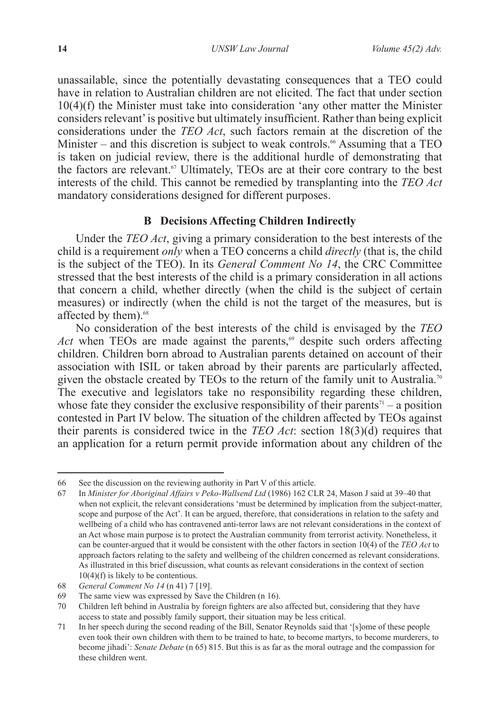unassailable, since the potentially devastating consequences that a TEO could have in relation to Australian children are not elicited. The fact that under section 10(4)(f) the Minister must take into consideration 'any other matter the Minister considers relevant' is positive but ultimately insufficient. Rather than being explicit considerations under the *TEO Act*, such factors remain at the discretion of the Minister – and this discretion is subject to weak controls.<sup>66</sup> Assuming that a TEO is taken on judicial review, there is the additional hurdle of demonstrating that the factors are relevant.<sup>67</sup> Ultimately, TEOs are at their core contrary to the best interests of the child. This cannot be remedied by transplanting into the *TEO Act* mandatory considerations designed for different purposes.

# **B Decisions Affecting Children Indirectly**

Under the *TEO Act*, giving a primary consideration to the best interests of the child is a requirement *only* when a TEO concerns a child *directly* (that is, the child is the subject of the TEO). In its *General Comment No 14*, the CRC Committee stressed that the best interests of the child is a primary consideration in all actions that concern a child, whether directly (when the child is the subject of certain measures) or indirectly (when the child is not the target of the measures, but is affected by them).<sup>68</sup>

No consideration of the best interests of the child is envisaged by the *TEO Act* when TEOs are made against the parents,<sup>69</sup> despite such orders affecting children. Children born abroad to Australian parents detained on account of their association with ISIL or taken abroad by their parents are particularly affected, given the obstacle created by TEOs to the return of the family unit to Australia.<sup>70</sup> The executive and legislators take no responsibility regarding these children, whose fate they consider the exclusive responsibility of their parents<sup> $\eta$ </sup> – a position contested in Part IV below. The situation of the children affected by TEOs against their parents is considered twice in the *TEO Act*: section 18(3)(d) requires that an application for a return permit provide information about any children of the

<sup>66</sup> See the discussion on the reviewing authority in Part V of this article.

<sup>67</sup> In *Minister for Aboriginal Affairs v Peko-Wallsend Ltd* (1986) 162 CLR 24, Mason J said at 39–40 that when not explicit, the relevant considerations 'must be determined by implication from the subject-matter, scope and purpose of the Act'. It can be argued, therefore, that considerations in relation to the safety and wellbeing of a child who has contravened anti-terror laws are not relevant considerations in the context of an Act whose main purpose is to protect the Australian community from terrorist activity. Nonetheless, it can be counter-argued that it would be consistent with the other factors in section 10(4) of the *TEO Act* to approach factors relating to the safety and wellbeing of the children concerned as relevant considerations. As illustrated in this brief discussion, what counts as relevant considerations in the context of section 10(4)(f) is likely to be contentious.

<sup>68</sup> *General Comment No 14* (n 41) 7 [19].

<sup>69</sup> The same view was expressed by Save the Children (n 16).

<sup>70</sup> Children left behind in Australia by foreign fighters are also affected but, considering that they have access to state and possibly family support, their situation may be less critical.

<sup>71</sup> In her speech during the second reading of the Bill, Senator Reynolds said that '[s]ome of these people even took their own children with them to be trained to hate, to become martyrs, to become murderers, to become jihadi': *Senate Debate* (n 65) 815. But this is as far as the moral outrage and the compassion for these children went.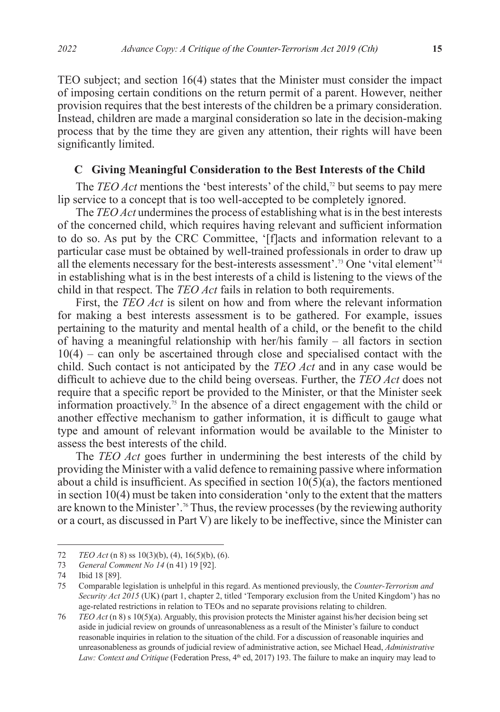TEO subject; and section 16(4) states that the Minister must consider the impact of imposing certain conditions on the return permit of a parent. However, neither provision requires that the best interests of the children be a primary consideration. Instead, children are made a marginal consideration so late in the decision-making process that by the time they are given any attention, their rights will have been significantly limited.

### **C Giving Meaningful Consideration to the Best Interests of the Child**

The *TEO Act* mentions the 'best interests' of the child,<sup>72</sup> but seems to pay mere lip service to a concept that is too well-accepted to be completely ignored.

The *TEO Act* undermines the process of establishing what is in the best interests of the concerned child, which requires having relevant and sufficient information to do so. As put by the CRC Committee, '[f]acts and information relevant to a particular case must be obtained by well-trained professionals in order to draw up all the elements necessary for the best-interests assessment'.73 One 'vital element'74 in establishing what is in the best interests of a child is listening to the views of the child in that respect. The *TEO Act* fails in relation to both requirements.

First, the *TEO Act* is silent on how and from where the relevant information for making a best interests assessment is to be gathered. For example, issues pertaining to the maturity and mental health of a child, or the benefit to the child of having a meaningful relationship with her/his family – all factors in section 10(4) – can only be ascertained through close and specialised contact with the child. Such contact is not anticipated by the *TEO Act* and in any case would be difficult to achieve due to the child being overseas. Further, the *TEO Act* does not require that a specific report be provided to the Minister, or that the Minister seek information proactively.<sup>75</sup> In the absence of a direct engagement with the child or another effective mechanism to gather information, it is difficult to gauge what type and amount of relevant information would be available to the Minister to assess the best interests of the child.

The *TEO Act* goes further in undermining the best interests of the child by providing the Minister with a valid defence to remaining passive where information about a child is insufficient. As specified in section  $10(5)(a)$ , the factors mentioned in section 10(4) must be taken into consideration 'only to the extent that the matters are known to the Minister'.76 Thus, the review processes (by the reviewing authority or a court, as discussed in Part V) are likely to be ineffective, since the Minister can

<sup>72</sup> *TEO Act* (n 8) ss 10(3)(b), (4), 16(5)(b), (6).<br>73 *General Comment No 14* (n 41) 19 [92].

<sup>73</sup> *General Comment No 14* (n 41) 19 [92].

<sup>74</sup> Ibid 18 [89].

<sup>75</sup> Comparable legislation is unhelpful in this regard. As mentioned previously, the *Counter-Terrorism and Security Act 2015* (UK) (part 1, chapter 2, titled 'Temporary exclusion from the United Kingdom') has no age-related restrictions in relation to TEOs and no separate provisions relating to children.

<sup>76</sup> *TEO Act* (n 8) s 10(5)(a). Arguably, this provision protects the Minister against his/her decision being set aside in judicial review on grounds of unreasonableness as a result of the Minister's failure to conduct reasonable inquiries in relation to the situation of the child. For a discussion of reasonable inquiries and unreasonableness as grounds of judicial review of administrative action, see Michael Head, *Administrative Law: Context and Critique* (Federation Press,  $4<sup>th</sup>$  ed, 2017) 193. The failure to make an inquiry may lead to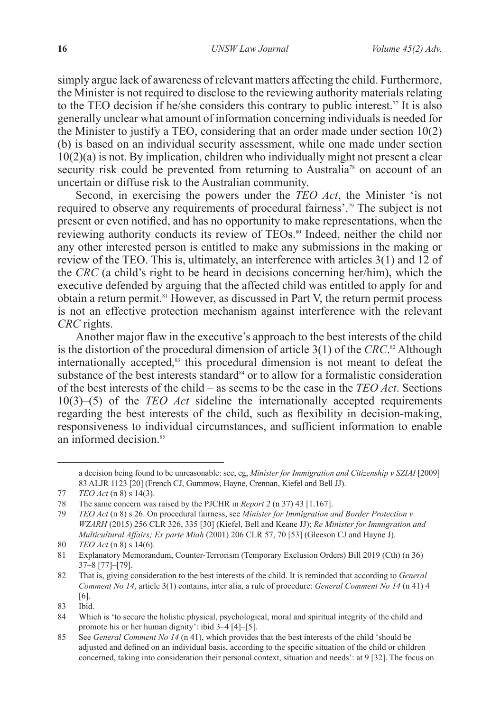simply argue lack of awareness of relevant matters affecting the child. Furthermore, the Minister is not required to disclose to the reviewing authority materials relating to the TEO decision if he/she considers this contrary to public interest.<sup>77</sup> It is also generally unclear what amount of information concerning individuals is needed for the Minister to justify a TEO, considering that an order made under section 10(2) (b) is based on an individual security assessment, while one made under section  $10(2)(a)$  is not. By implication, children who individually might not present a clear security risk could be prevented from returning to Australia<sup>78</sup> on account of an uncertain or diffuse risk to the Australian community.

Second, in exercising the powers under the *TEO Act*, the Minister 'is not required to observe any requirements of procedural fairness'.79 The subject is not present or even notified, and has no opportunity to make representations, when the reviewing authority conducts its review of TEOs.<sup>80</sup> Indeed, neither the child nor any other interested person is entitled to make any submissions in the making or review of the TEO. This is, ultimately, an interference with articles 3(1) and 12 of the *CRC* (a child's right to be heard in decisions concerning her/him), which the executive defended by arguing that the affected child was entitled to apply for and obtain a return permit.81 However, as discussed in Part V, the return permit process is not an effective protection mechanism against interference with the relevant *CRC* rights.

Another major flaw in the executive's approach to the best interests of the child is the distortion of the procedural dimension of article 3(1) of the *CRC*. 82 Although internationally accepted,<sup>83</sup> this procedural dimension is not meant to defeat the substance of the best interests standard $84$  or to allow for a formalistic consideration of the best interests of the child – as seems to be the case in the *TEO Act*. Sections 10(3)–(5) of the *TEO Act* sideline the internationally accepted requirements regarding the best interests of the child, such as flexibility in decision-making, responsiveness to individual circumstances, and sufficient information to enable an informed decision  $85$ 

a decision being found to be unreasonable: see, eg, *Minister for Immigration and Citizenship v SZIAI* [2009] 83 ALJR 1123 [20] (French CJ, Gummow, Hayne, Crennan, Kiefel and Bell JJ).

<sup>77</sup> *TEO Act* (n 8) s 14(3).

<sup>78</sup> The same concern was raised by the PJCHR in *Report 2* (n 37) 43 [1.167].

<sup>79</sup> *TEO Act* (n 8) s 26. On procedural fairness, see *Minister for Immigration and Border Protection v WZARH* (2015) 256 CLR 326, 335 [30] (Kiefel, Bell and Keane JJ); *Re Minister for Immigration and Multicultural Affairs; Ex parte Miah* (2001) 206 CLR 57, 70 [53] (Gleeson CJ and Hayne J).

<sup>80</sup> *TEO Act* (n 8) s 14(6).

<sup>81</sup> Explanatory Memorandum, Counter-Terrorism (Temporary Exclusion Orders) Bill 2019 (Cth) (n 36) 37–8 [77]–[79].

<sup>82</sup> That is, giving consideration to the best interests of the child. It is reminded that according to *General Comment No 14*, article 3(1) contains, inter alia, a rule of procedure: *General Comment No 14* (n 41) 4 [6].

<sup>83</sup> Ibid.

<sup>84</sup> Which is 'to secure the holistic physical, psychological, moral and spiritual integrity of the child and promote his or her human dignity': ibid 3–4 [4]–[5].

<sup>85</sup> See *General Comment No 14* (n 41), which provides that the best interests of the child 'should be adjusted and defined on an individual basis, according to the specific situation of the child or children concerned, taking into consideration their personal context, situation and needs': at 9 [32]. The focus on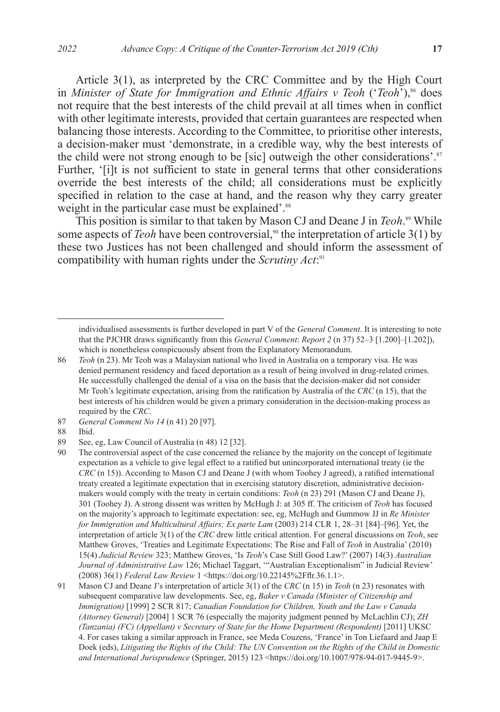Article 3(1), as interpreted by the CRC Committee and by the High Court in *Minister of State for Immigration and Ethnic Affairs v Teoh* ('*Teoh*'),<sup>86</sup> does not require that the best interests of the child prevail at all times when in conflict with other legitimate interests, provided that certain guarantees are respected when balancing those interests. According to the Committee, to prioritise other interests, a decision-maker must 'demonstrate, in a credible way, why the best interests of the child were not strong enough to be [sic] outweigh the other considerations'. $87$ Further, '[i]t is not sufficient to state in general terms that other considerations override the best interests of the child; all considerations must be explicitly specified in relation to the case at hand, and the reason why they carry greater weight in the particular case must be explained'.<sup>88</sup>

This position is similar to that taken by Mason CJ and Deane J in *Teoh*. 89 While some aspects of *Teoh* have been controversial,<sup>90</sup> the interpretation of article 3(1) by these two Justices has not been challenged and should inform the assessment of compatibility with human rights under the *Scrutiny Act*: 91

individualised assessments is further developed in part V of the *General Comment*. It is interesting to note that the PJCHR draws significantly from this *General Comment*: *Report 2* (n 37) 52–3 [1.200]–[1.202]), which is nonetheless conspicuously absent from the Explanatory Memorandum.

<sup>86</sup> *Teoh* (n 23). Mr Teoh was a Malaysian national who lived in Australia on a temporary visa. He was denied permanent residency and faced deportation as a result of being involved in drug-related crimes. He successfully challenged the denial of a visa on the basis that the decision-maker did not consider Mr Teoh's legitimate expectation, arising from the ratification by Australia of the *CRC* (n 15), that the best interests of his children would be given a primary consideration in the decision-making process as required by the *CRC*.

<sup>87</sup> *General Comment No 14* (n 41) 20 [97].

<sup>88</sup> Ibid.

<sup>89</sup> See, eg, Law Council of Australia (n 48) 12 [32].

<sup>90</sup> The controversial aspect of the case concerned the reliance by the majority on the concept of legitimate expectation as a vehicle to give legal effect to a ratified but unincorporated international treaty (ie the *CRC* (n 15)). According to Mason CJ and Deane J (with whom Toohey J agreed), a ratified international treaty created a legitimate expectation that in exercising statutory discretion, administrative decisionmakers would comply with the treaty in certain conditions: *Teoh* (n 23) 291 (Mason CJ and Deane J), 301 (Toohey J). A strong dissent was written by McHugh J: at 305 ff. The criticism of *Teoh* has focused on the majority's approach to legitimate expectation: see, eg, McHugh and Gummow JJ in *Re Minister for Immigration and Multicultural Affairs; Ex parte Lam* (2003) 214 CLR 1, 28–31 [84]–[96]. Yet, the interpretation of article 3(1) of the *CRC* drew little critical attention. For general discussions on *Teoh*, see Matthew Groves, 'Treaties and Legitimate Expectations: The Rise and Fall of *Teoh* in Australia' (2010) 15(4) *Judicial Review* 323; Matthew Groves, 'Is *Teoh*'s Case Still Good Law?' (2007) 14(3) *Australian Journal of Administrative Law* 126; Michael Taggart, '"Australian Exceptionalism" in Judicial Review' (2008) 36(1) *Federal Law Review* 1 <https://doi.org/10.22145%2Fflr.36.1.1>.

<sup>91</sup> Mason CJ and Deane J's interpretation of article 3(1) of the *CRC* (n 15) in *Teoh* (n 23) resonates with subsequent comparative law developments. See, eg, *Baker v Canada (Minister of Citizenship and Immigration)* [1999] 2 SCR 817; *Canadian Foundation for Children, Youth and the Law v Canada (Attorney General)* [2004] 1 SCR 76 (especially the majority judgment penned by McLachlin CJ); *ZH (Tanzania) (FC) (Appellant) v Secretary of State for the Home Department (Respondent)* [2011] UKSC 4. For cases taking a similar approach in France, see Meda Couzens, 'France' in Ton Liefaard and Jaap E Doek (eds), *Litigating the Rights of the Child: The UN Convention on the Rights of the Child in Domestic and International Jurisprudence* (Springer, 2015) 123 <https://doi.org/10.1007/978-94-017-9445-9>.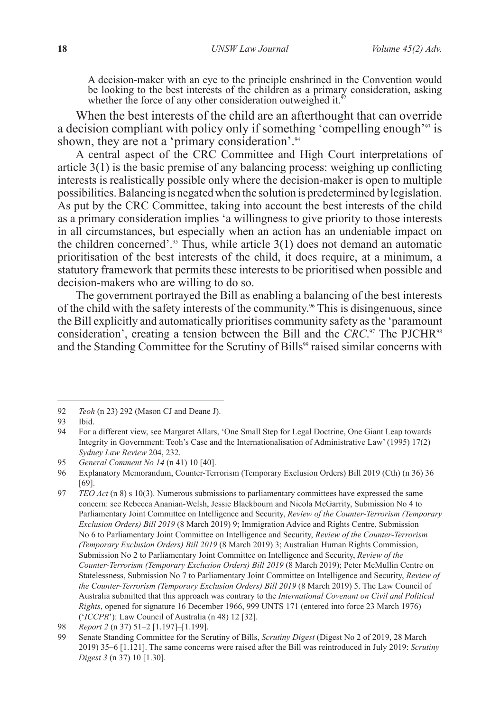A decision-maker with an eye to the principle enshrined in the Convention would be looking to the best interests of the children as a primary consideration, asking whether the force of any other consideration outweighed it.<sup>9</sup>

When the best interests of the child are an afterthought that can override a decision compliant with policy only if something 'compelling enough'<sup>93</sup> is shown, they are not a 'primary consideration'.<sup>94</sup>

A central aspect of the CRC Committee and High Court interpretations of article 3(1) is the basic premise of any balancing process: weighing up conflicting interests is realistically possible only where the decision-maker is open to multiple possibilities. Balancing is negated when the solution is predetermined by legislation. As put by the CRC Committee, taking into account the best interests of the child as a primary consideration implies 'a willingness to give priority to those interests in all circumstances, but especially when an action has an undeniable impact on the children concerned'.<sup>95</sup> Thus, while article  $3(1)$  does not demand an automatic prioritisation of the best interests of the child, it does require, at a minimum, a statutory framework that permits these interests to be prioritised when possible and decision-makers who are willing to do so.

The government portrayed the Bill as enabling a balancing of the best interests of the child with the safety interests of the community.<sup>96</sup> This is disingenuous, since the Bill explicitly and automatically prioritises community safety as the 'paramount consideration', creating a tension between the Bill and the *CRC*.<sup>97</sup> The PJCHR<sup>98</sup> and the Standing Committee for the Scrutiny of Bills<sup>99</sup> raised similar concerns with

<sup>92</sup> *Teoh* (n 23) 292 (Mason CJ and Deane J).

Ibid.

<sup>94</sup> For a different view, see Margaret Allars, 'One Small Step for Legal Doctrine, One Giant Leap towards Integrity in Government: Teoh's Case and the Internationalisation of Administrative Law' (1995) 17(2) *Sydney Law Review* 204, 232.

<sup>95</sup> *General Comment No 14* (n 41) 10 [40].<br>96 Explanatory Memorandum. Counter-Ter

<sup>96</sup> Explanatory Memorandum, Counter-Terrorism (Temporary Exclusion Orders) Bill 2019 (Cth) (n 36) 36 [69].

<sup>97</sup> *TEO Act* (n 8) s 10(3). Numerous submissions to parliamentary committees have expressed the same concern: see Rebecca Ananian-Welsh, Jessie Blackbourn and Nicola McGarrity, Submission No 4 to Parliamentary Joint Committee on Intelligence and Security, *Review of the Counter-Terrorism (Temporary Exclusion Orders) Bill 2019* (8 March 2019) 9; Immigration Advice and Rights Centre, Submission No 6 to Parliamentary Joint Committee on Intelligence and Security, *Review of the Counter-Terrorism (Temporary Exclusion Orders) Bill 2019* (8 March 2019) 3; Australian Human Rights Commission, Submission No 2 to Parliamentary Joint Committee on Intelligence and Security, *Review of the Counter-Terrorism (Temporary Exclusion Orders) Bill 2019* (8 March 2019); Peter McMullin Centre on Statelessness, Submission No 7 to Parliamentary Joint Committee on Intelligence and Security, *Review of the Counter-Terrorism (Temporary Exclusion Orders) Bill 2019* (8 March 2019) 5. The Law Council of Australia submitted that this approach was contrary to the *International Covenant on Civil and Political Rights*, opened for signature 16 December 1966, 999 UNTS 171 (entered into force 23 March 1976) ('*ICCPR*'): Law Council of Australia (n 48) 12 [32].

<sup>98</sup> *Report 2* (n 37) 51–2 [1.197]–[1.199].

<sup>99</sup> Senate Standing Committee for the Scrutiny of Bills, *Scrutiny Digest* (Digest No 2 of 2019, 28 March 2019) 35–6 [1.121]. The same concerns were raised after the Bill was reintroduced in July 2019: *Scrutiny Digest 3* (n 37) 10 [1.30].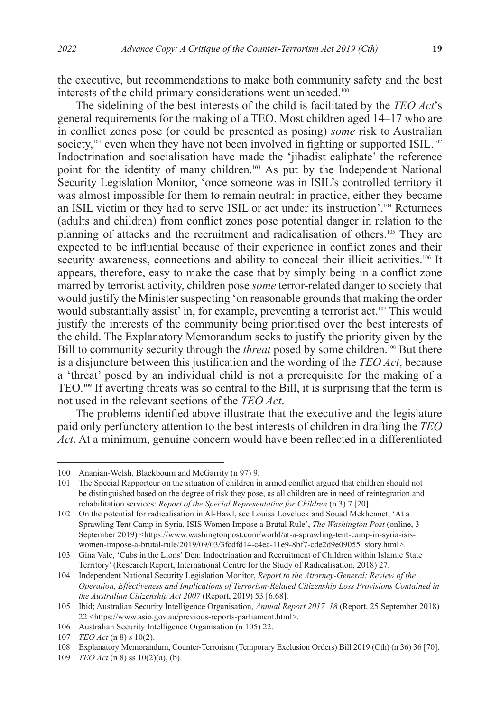the executive, but recommendations to make both community safety and the best interests of the child primary considerations went unheeded.<sup>100</sup>

The sidelining of the best interests of the child is facilitated by the *TEO Act*'s general requirements for the making of a TEO. Most children aged 14–17 who are in conflict zones pose (or could be presented as posing) *some* risk to Australian society,<sup>101</sup> even when they have not been involved in fighting or supported ISIL.<sup>102</sup> Indoctrination and socialisation have made the 'jihadist caliphate' the reference point for the identity of many children.<sup>103</sup> As put by the Independent National Security Legislation Monitor, 'once someone was in ISIL's controlled territory it was almost impossible for them to remain neutral: in practice, either they became an ISIL victim or they had to serve ISIL or act under its instruction'.104 Returnees (adults and children) from conflict zones pose potential danger in relation to the planning of attacks and the recruitment and radicalisation of others.105 They are expected to be influential because of their experience in conflict zones and their security awareness, connections and ability to conceal their illicit activities.<sup>106</sup> It appears, therefore, easy to make the case that by simply being in a conflict zone marred by terrorist activity, children pose *some* terror-related danger to society that would justify the Minister suspecting 'on reasonable grounds that making the order would substantially assist' in, for example, preventing a terrorist act.<sup>107</sup> This would justify the interests of the community being prioritised over the best interests of the child. The Explanatory Memorandum seeks to justify the priority given by the Bill to community security through the *threat* posed by some children.<sup>108</sup> But there is a disjuncture between this justification and the wording of the *TEO Act*, because a 'threat' posed by an individual child is not a prerequisite for the making of a TEO.109 If averting threats was so central to the Bill, it is surprising that the term is not used in the relevant sections of the *TEO Act*.

The problems identified above illustrate that the executive and the legislature paid only perfunctory attention to the best interests of children in drafting the *TEO Act*. At a minimum, genuine concern would have been reflected in a differentiated

<sup>100</sup> Ananian-Welsh, Blackbourn and McGarrity (n 97) 9.

<sup>101</sup> The Special Rapporteur on the situation of children in armed conflict argued that children should not be distinguished based on the degree of risk they pose, as all children are in need of reintegration and rehabilitation services: *Report of the Special Representative for Children* (n 3) 7 [20].

<sup>102</sup> On the potential for radicalisation in Al-Hawl, see Louisa Loveluck and Souad Mekhennet, 'At a Sprawling Tent Camp in Syria, ISIS Women Impose a Brutal Rule', *The Washington Post* (online, 3 September 2019) <https://www.washingtonpost.com/world/at-a-sprawling-tent-camp-in-syria-isiswomen-impose-a-brutal-rule/2019/09/03/3fcdfd14-c4ea-11e9-8bf7-cde2d9e09055\_story.html>.

<sup>103</sup> Gina Vale, 'Cubs in the Lions' Den: Indoctrination and Recruitment of Children within Islamic State Territory' (Research Report, International Centre for the Study of Radicalisation, 2018) 27.

<sup>104</sup> Independent National Security Legislation Monitor, *Report to the Attorney-General: Review of the Operation, Effectiveness and Implications of Terrorism-Related Citizenship Loss Provisions Contained in the Australian Citizenship Act 2007* (Report, 2019) 53 [6.68].

<sup>105</sup> Ibid; Australian Security Intelligence Organisation, *Annual Report 2017–18* (Report, 25 September 2018) 22 <https://www.asio.gov.au/previous-reports-parliament.html>.

<sup>106</sup> Australian Security Intelligence Organisation (n 105) 22.

<sup>107</sup> *TEO Act* (n 8) s 10(2).

<sup>108</sup> Explanatory Memorandum, Counter-Terrorism (Temporary Exclusion Orders) Bill 2019 (Cth) (n 36) 36 [70].

<sup>109</sup> *TEO Act* (n 8) ss 10(2)(a), (b).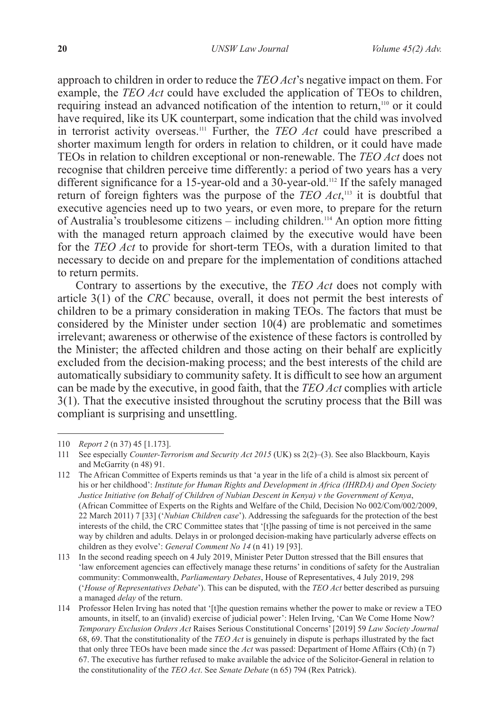approach to children in order to reduce the *TEO Act*'s negative impact on them. For example, the *TEO Act* could have excluded the application of TEOs to children, requiring instead an advanced notification of the intention to return,<sup>110</sup> or it could have required, like its UK counterpart, some indication that the child was involved in terrorist activity overseas.111 Further, the *TEO Act* could have prescribed a shorter maximum length for orders in relation to children, or it could have made TEOs in relation to children exceptional or non-renewable. The *TEO Act* does not recognise that children perceive time differently: a period of two years has a very different significance for a 15-year-old and a 30-year-old.<sup>112</sup> If the safely managed return of foreign fighters was the purpose of the *TEO Act*, 113 it is doubtful that executive agencies need up to two years, or even more, to prepare for the return of Australia's troublesome citizens – including children.114 An option more fitting with the managed return approach claimed by the executive would have been for the *TEO Act* to provide for short-term TEOs, with a duration limited to that necessary to decide on and prepare for the implementation of conditions attached to return permits.

Contrary to assertions by the executive, the *TEO Act* does not comply with article 3(1) of the *CRC* because, overall, it does not permit the best interests of children to be a primary consideration in making TEOs. The factors that must be considered by the Minister under section 10(4) are problematic and sometimes irrelevant; awareness or otherwise of the existence of these factors is controlled by the Minister; the affected children and those acting on their behalf are explicitly excluded from the decision-making process; and the best interests of the child are automatically subsidiary to community safety. It is difficult to see how an argument can be made by the executive, in good faith, that the *TEO Act* complies with article 3(1). That the executive insisted throughout the scrutiny process that the Bill was compliant is surprising and unsettling.

<sup>110</sup> *Report 2* (n 37) 45 [1.173].

<sup>111</sup> See especially *Counter-Terrorism and Security Act 2015* (UK) ss 2(2)–(3). See also Blackbourn, Kayis and McGarrity (n 48) 91.

<sup>112</sup> The African Committee of Experts reminds us that 'a year in the life of a child is almost six percent of his or her childhood': *Institute for Human Rights and Development in Africa (IHRDA) and Open Society Justice Initiative (on Behalf of Children of Nubian Descent in Kenya) v the Government of Kenya*, (African Committee of Experts on the Rights and Welfare of the Child, Decision No 002/Com/002/2009, 22 March 2011) 7 [33] ('*Nubian Children case*'). Addressing the safeguards for the protection of the best interests of the child, the CRC Committee states that '[t]he passing of time is not perceived in the same way by children and adults. Delays in or prolonged decision-making have particularly adverse effects on children as they evolve': *General Comment No 14* (n 41) 19 [93].

<sup>113</sup> In the second reading speech on 4 July 2019, Minister Peter Dutton stressed that the Bill ensures that 'law enforcement agencies can effectively manage these returns' in conditions of safety for the Australian community: Commonwealth, *Parliamentary Debates*, House of Representatives, 4 July 2019, 298 ('*House of Representatives Debate*'). This can be disputed, with the *TEO Act* better described as pursuing a managed *delay* of the return.

<sup>114</sup> Professor Helen Irving has noted that '[t]he question remains whether the power to make or review a TEO amounts, in itself, to an (invalid) exercise of judicial power': Helen Irving, 'Can We Come Home Now? *Temporary Exclusion Orders Act* Raises Serious Constitutional Concerns' [2019] 59 *Law Society Journal* 68, 69. That the constitutionality of the *TEO Act* is genuinely in dispute is perhaps illustrated by the fact that only three TEOs have been made since the *Act* was passed: Department of Home Affairs (Cth) (n 7) 67. The executive has further refused to make available the advice of the Solicitor-General in relation to the constitutionality of the *TEO Act*. See *Senate Debate* (n 65) 794 (Rex Patrick).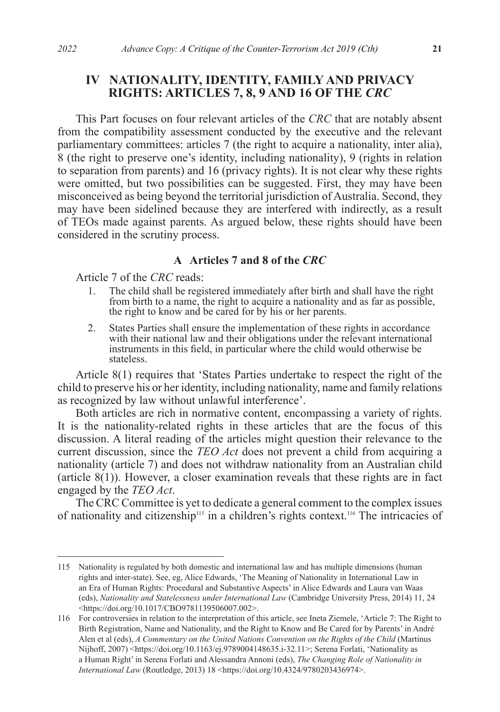# **IV NATIONALITY, IDENTITY, FAMILY AND PRIVACY RIGHTS: ARTICLES 7, 8, 9 AND 16 OF THE** *CRC*

This Part focuses on four relevant articles of the *CRC* that are notably absent from the compatibility assessment conducted by the executive and the relevant parliamentary committees: articles 7 (the right to acquire a nationality, inter alia), 8 (the right to preserve one's identity, including nationality), 9 (rights in relation to separation from parents) and 16 (privacy rights). It is not clear why these rights were omitted, but two possibilities can be suggested. First, they may have been misconceived as being beyond the territorial jurisdiction of Australia. Second, they may have been sidelined because they are interfered with indirectly, as a result of TEOs made against parents. As argued below, these rights should have been considered in the scrutiny process.

### **A Articles 7 and 8 of the** *CRC*

Article 7 of the *CRC* reads:

- 1. The child shall be registered immediately after birth and shall have the right from birth to a name, the right to acquire a nationality and as far as possible, the right to know and be cared for by his or her parents.
- 2. States Parties shall ensure the implementation of these rights in accordance with their national law and their obligations under the relevant international instruments in this field, in particular where the child would otherwise be stateless.

Article 8(1) requires that 'States Parties undertake to respect the right of the child to preserve his or her identity, including nationality, name and family relations as recognized by law without unlawful interference'.

Both articles are rich in normative content, encompassing a variety of rights. It is the nationality-related rights in these articles that are the focus of this discussion. A literal reading of the articles might question their relevance to the current discussion, since the *TEO Act* does not prevent a child from acquiring a nationality (article 7) and does not withdraw nationality from an Australian child (article  $8(1)$ ). However, a closer examination reveals that these rights are in fact engaged by the *TEO Act*.

The CRC Committee is yet to dedicate a general comment to the complex issues of nationality and citizenship<sup>115</sup> in a children's rights context.<sup>116</sup> The intricacies of

<sup>115</sup> Nationality is regulated by both domestic and international law and has multiple dimensions (human rights and inter-state). See, eg, Alice Edwards, 'The Meaning of Nationality in International Law in an Era of Human Rights: Procedural and Substantive Aspects' in Alice Edwards and Laura van Waas (eds), *Nationality and Statelessness under International Law* (Cambridge University Press, 2014) 11, 24 <https://doi.org/10.1017/CBO9781139506007.002>.

<sup>116</sup> For controversies in relation to the interpretation of this article, see Ineta Ziemele, 'Article 7: The Right to Birth Registration, Name and Nationality, and the Right to Know and Be Cared for by Parents' in André Alen et al (eds), *A Commentary on the United Nations Convention on the Rights of the Child* (Martinus Nijhoff, 2007) <https://doi.org/10.1163/ej.9789004148635.i-32.11>; Serena Forlati, 'Nationality as a Human Right' in Serena Forlati and Alessandra Annoni (eds), *The Changing Role of Nationality in International Law* (Routledge, 2013) 18 <https://doi.org/10.4324/9780203436974>.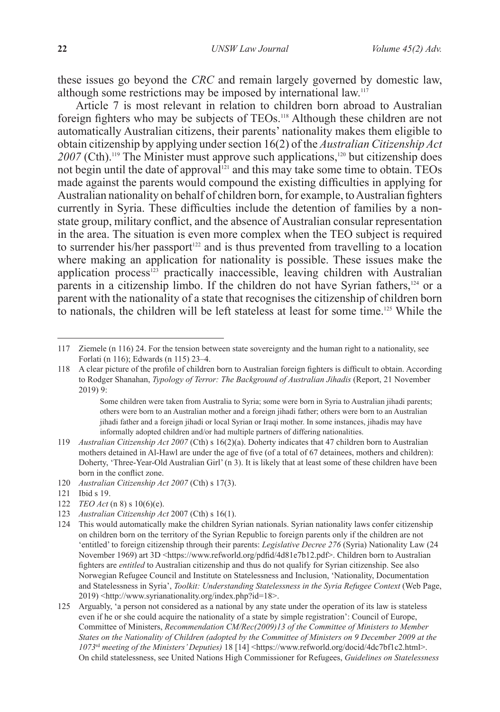these issues go beyond the *CRC* and remain largely governed by domestic law, although some restrictions may be imposed by international law.<sup>117</sup>

Article 7 is most relevant in relation to children born abroad to Australian foreign fighters who may be subjects of TEOs.118 Although these children are not automatically Australian citizens, their parents' nationality makes them eligible to obtain citizenship by applying under section 16(2) of the *Australian Citizenship Act* 2007 (Cth).<sup>119</sup> The Minister must approve such applications,<sup>120</sup> but citizenship does not begin until the date of approval<sup>121</sup> and this may take some time to obtain. TEOs made against the parents would compound the existing difficulties in applying for Australian nationality on behalf of children born, for example, to Australian fighters currently in Syria. These difficulties include the detention of families by a nonstate group, military conflict, and the absence of Australian consular representation in the area. The situation is even more complex when the TEO subject is required to surrender his/her passport $122$  and is thus prevented from travelling to a location where making an application for nationality is possible. These issues make the application process $123$  practically inaccessible, leaving children with Australian parents in a citizenship limbo. If the children do not have Syrian fathers, $124$  or a parent with the nationality of a state that recognises the citizenship of children born to nationals, the children will be left stateless at least for some time.<sup>125</sup> While the

<sup>117</sup> Ziemele (n 116) 24. For the tension between state sovereignty and the human right to a nationality, see Forlati (n 116); Edwards (n 115) 23–4.

<sup>118</sup> A clear picture of the profile of children born to Australian foreign fighters is difficult to obtain. According to Rodger Shanahan, *Typology of Terror: The Background of Australian Jihadis* (Report, 21 November 2019) 9:

Some children were taken from Australia to Syria; some were born in Syria to Australian jihadi parents; others were born to an Australian mother and a foreign jihadi father; others were born to an Australian jihadi father and a foreign jihadi or local Syrian or Iraqi mother. In some instances, jihadis may have informally adopted children and/or had multiple partners of differing nationalities.

<sup>119</sup> *Australian Citizenship Act 2007* (Cth) s 16(2)(a). Doherty indicates that 47 children born to Australian mothers detained in Al-Hawl are under the age of five (of a total of 67 detainees, mothers and children): Doherty, 'Three-Year-Old Australian Girl' (n 3). It is likely that at least some of these children have been born in the conflict zone.

<sup>120</sup> *Australian Citizenship Act 2007* (Cth) s 17(3).

<sup>121</sup> Ibid s 19.

<sup>122</sup> *TEO Act* (n 8) s 10(6)(e).

<sup>123</sup> *Australian Citizenship Act* 2007 (Cth) s 16(1).

<sup>124</sup> This would automatically make the children Syrian nationals. Syrian nationality laws confer citizenship on children born on the territory of the Syrian Republic to foreign parents only if the children are not 'entitled' to foreign citizenship through their parents: *Legislative Decree 276* (Syria) Nationality Law (24 November 1969) art 3D <https://www.refworld.org/pdfid/4d81e7b12.pdf>. Children born to Australian fighters are *entitled* to Australian citizenship and thus do not qualify for Syrian citizenship. See also Norwegian Refugee Council and Institute on Statelessness and Inclusion, 'Nationality, Documentation and Statelessness in Syria', *Toolkit: Understanding Statelessness in the Syria Refugee Context* (Web Page, 2019) <http://www.syrianationality.org/index.php?id=18>.

<sup>125</sup> Arguably, 'a person not considered as a national by any state under the operation of its law is stateless even if he or she could acquire the nationality of a state by simple registration': Council of Europe, Committee of Ministers, *Recommendation CM/Rec(2009)13 of the Committee of Ministers to Member States on the Nationality of Children (adopted by the Committee of Ministers on 9 December 2009 at the 1073*rd *meeting of the Ministers' Deputies)* 18 [14] <https://www.refworld.org/docid/4dc7bf1c2.html>. On child statelessness, see United Nations High Commissioner for Refugees, *Guidelines on Statelessness*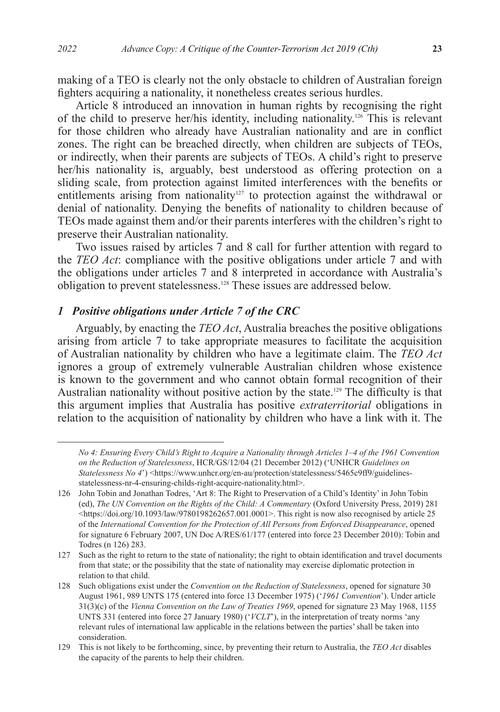making of a TEO is clearly not the only obstacle to children of Australian foreign fighters acquiring a nationality, it nonetheless creates serious hurdles.

Article 8 introduced an innovation in human rights by recognising the right of the child to preserve her/his identity, including nationality.126 This is relevant for those children who already have Australian nationality and are in conflict zones. The right can be breached directly, when children are subjects of TEOs, or indirectly, when their parents are subjects of TEOs. A child's right to preserve her/his nationality is, arguably, best understood as offering protection on a sliding scale, from protection against limited interferences with the benefits or entitlements arising from nationality<sup>127</sup> to protection against the withdrawal or denial of nationality. Denying the benefits of nationality to children because of TEOs made against them and/or their parents interferes with the children's right to preserve their Australian nationality.

Two issues raised by articles 7 and 8 call for further attention with regard to the *TEO Act*: compliance with the positive obligations under article 7 and with the obligations under articles 7 and 8 interpreted in accordance with Australia's obligation to prevent statelessness.128 These issues are addressed below.

#### *1 Positive obligations under Article 7 of the CRC*

Arguably, by enacting the *TEO Act*, Australia breaches the positive obligations arising from article 7 to take appropriate measures to facilitate the acquisition of Australian nationality by children who have a legitimate claim. The *TEO Act* ignores a group of extremely vulnerable Australian children whose existence is known to the government and who cannot obtain formal recognition of their Australian nationality without positive action by the state.<sup>129</sup> The difficulty is that this argument implies that Australia has positive *extraterritorial* obligations in relation to the acquisition of nationality by children who have a link with it. The

*No 4: Ensuring Every Child's Right to Acquire a Nationality through Articles 1–4 of the 1961 Convention on the Reduction of Statelessness*, HCR/GS/12/04 (21 December 2012) ('UNHCR *Guidelines on Statelessness No 4*') <https://www.unhcr.org/en-au/protection/statelessness/5465c9ff9/guidelinesstatelessness-nr-4-ensuring-childs-right-acquire-nationality.html>.

<sup>126</sup> John Tobin and Jonathan Todres, 'Art 8: The Right to Preservation of a Child's Identity' in John Tobin (ed), *The UN Convention on the Rights of the Child: A Commentary* (Oxford University Press, 2019) 281  $\lt$ https://doi.org/10.1093/law/9780198262657.001.0001>. This right is now also recognised by article 25 of the *International Convention for the Protection of All Persons from Enforced Disappearance*, opened for signature 6 February 2007, UN Doc A/RES/61/177 (entered into force 23 December 2010): Tobin and Todres (n 126) 283.

<sup>127</sup> Such as the right to return to the state of nationality; the right to obtain identification and travel documents from that state; or the possibility that the state of nationality may exercise diplomatic protection in relation to that child.

<sup>128</sup> Such obligations exist under the *Convention on the Reduction of Statelessness*, opened for signature 30 August 1961, 989 UNTS 175 (entered into force 13 December 1975) ('*1961 Convention*'). Under article 31(3)(c) of the *Vienna Convention on the Law of Treaties 1969*, opened for signature 23 May 1968, 1155 UNTS 331 (entered into force 27 January 1980) ('*VCLT*'), in the interpretation of treaty norms 'any relevant rules of international law applicable in the relations between the parties' shall be taken into consideration.

<sup>129</sup> This is not likely to be forthcoming, since, by preventing their return to Australia, the *TEO Act* disables the capacity of the parents to help their children.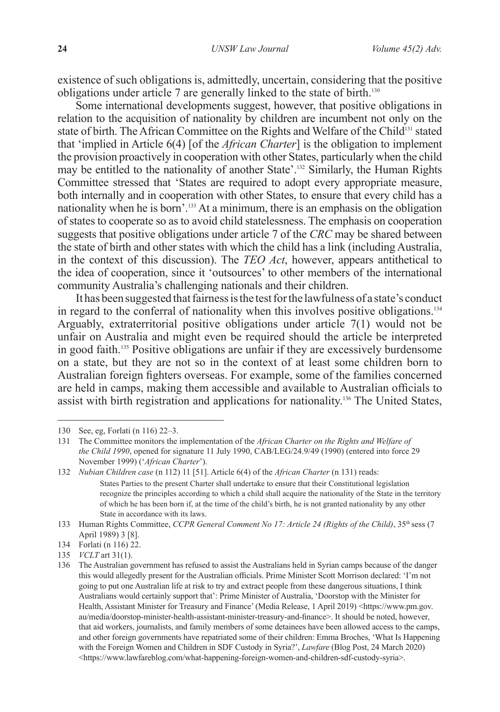existence of such obligations is, admittedly, uncertain, considering that the positive obligations under article 7 are generally linked to the state of birth.130

Some international developments suggest, however, that positive obligations in relation to the acquisition of nationality by children are incumbent not only on the state of birth. The African Committee on the Rights and Welfare of the Child<sup>131</sup> stated that 'implied in Article 6(4) [of the *African Charter*] is the obligation to implement the provision proactively in cooperation with other States, particularly when the child may be entitled to the nationality of another State'.132 Similarly, the Human Rights Committee stressed that 'States are required to adopt every appropriate measure, both internally and in cooperation with other States, to ensure that every child has a nationality when he is born'.133 At a minimum, there is an emphasis on the obligation of states to cooperate so as to avoid child statelessness. The emphasis on cooperation suggests that positive obligations under article 7 of the *CRC* may be shared between the state of birth and other states with which the child has a link (including Australia, in the context of this discussion). The *TEO Act*, however, appears antithetical to the idea of cooperation, since it 'outsources' to other members of the international community Australia's challenging nationals and their children.

It has been suggested that fairness is the test for the lawfulness of a state's conduct in regard to the conferral of nationality when this involves positive obligations.<sup>134</sup> Arguably, extraterritorial positive obligations under article 7(1) would not be unfair on Australia and might even be required should the article be interpreted in good faith.135 Positive obligations are unfair if they are excessively burdensome on a state, but they are not so in the context of at least some children born to Australian foreign fighters overseas. For example, some of the families concerned are held in camps, making them accessible and available to Australian officials to assist with birth registration and applications for nationality.136 The United States,

<sup>130</sup> See, eg, Forlati (n 116) 22–3.

<sup>131</sup> The Committee monitors the implementation of the *African Charter on the Rights and Welfare of the Child 1990*, opened for signature 11 July 1990, CAB/LEG/24.9/49 (1990) (entered into force 29 November 1999) ('*African Charter*').

<sup>132</sup> *Nubian Children case* (n 112) 11 [51]. Article 6(4) of the *African Charter* (n 131) reads: States Parties to the present Charter shall undertake to ensure that their Constitutional legislation recognize the principles according to which a child shall acquire the nationality of the State in the territory of which he has been born if, at the time of the child's birth, he is not granted nationality by any other State in accordance with its laws.

<sup>133</sup> Human Rights Committee, *CCPR General Comment No 17: Article 24 (Rights of the Child)*, 35<sup>th</sup> sess (7 April 1989) 3 [8].

<sup>134</sup> Forlati (n 116) 22.

<sup>135</sup> *VCLT* art 31(1).

<sup>136</sup> The Australian government has refused to assist the Australians held in Syrian camps because of the danger this would allegedly present for the Australian officials. Prime Minister Scott Morrison declared: 'I'm not going to put one Australian life at risk to try and extract people from these dangerous situations, I think Australians would certainly support that': Prime Minister of Australia, 'Doorstop with the Minister for Health, Assistant Minister for Treasury and Finance' (Media Release, 1 April 2019) <https://www.pm.gov. au/media/doorstop-minister-health-assistant-minister-treasury-and-finance>. It should be noted, however, that aid workers, journalists, and family members of some detainees have been allowed access to the camps, and other foreign governments have repatriated some of their children: Emma Broches, 'What Is Happening with the Foreign Women and Children in SDF Custody in Syria?', *Lawfare* (Blog Post, 24 March 2020) <https://www.lawfareblog.com/what-happening-foreign-women-and-children-sdf-custody-syria>.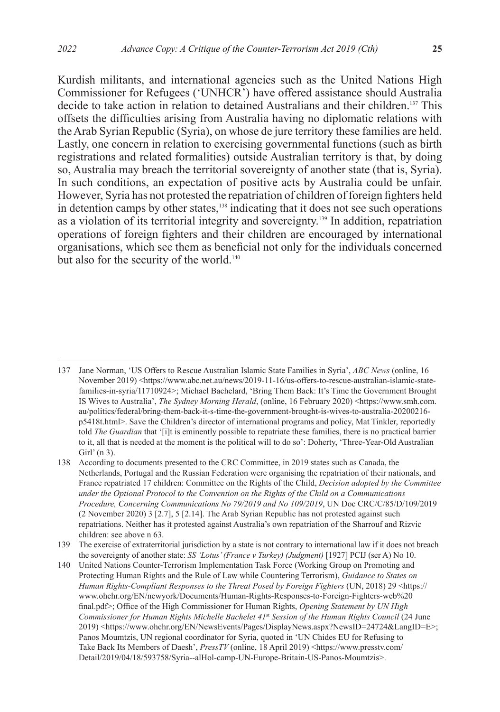Kurdish militants, and international agencies such as the United Nations High Commissioner for Refugees ('UNHCR') have offered assistance should Australia decide to take action in relation to detained Australians and their children.137 This offsets the difficulties arising from Australia having no diplomatic relations with the Arab Syrian Republic (Syria), on whose de jure territory these families are held. Lastly, one concern in relation to exercising governmental functions (such as birth registrations and related formalities) outside Australian territory is that, by doing so, Australia may breach the territorial sovereignty of another state (that is, Syria). In such conditions, an expectation of positive acts by Australia could be unfair. However, Syria has not protested the repatriation of children of foreign fighters held in detention camps by other states,<sup>138</sup> indicating that it does not see such operations as a violation of its territorial integrity and sovereignty.139 In addition, repatriation operations of foreign fighters and their children are encouraged by international organisations, which see them as beneficial not only for the individuals concerned but also for the security of the world.<sup>140</sup>

<sup>137</sup> Jane Norman, 'US Offers to Rescue Australian Islamic State Families in Syria', *ABC News* (online, 16 November 2019) <https://www.abc.net.au/news/2019-11-16/us-offers-to-rescue-australian-islamic-statefamilies-in-syria/11710924>; Michael Bachelard, 'Bring Them Back: It's Time the Government Brought IS Wives to Australia', *The Sydney Morning Herald*, (online, 16 February 2020) <https://www.smh.com. au/politics/federal/bring-them-back-it-s-time-the-government-brought-is-wives-to-australia-20200216 p5418t.html>. Save the Children's director of international programs and policy, Mat Tinkler, reportedly told *The Guardian* that '[i]t is eminently possible to repatriate these families, there is no practical barrier to it, all that is needed at the moment is the political will to do so': Doherty, 'Three-Year-Old Australian Girl' (n 3).

<sup>138</sup> According to documents presented to the CRC Committee, in 2019 states such as Canada, the Netherlands, Portugal and the Russian Federation were organising the repatriation of their nationals, and France repatriated 17 children: Committee on the Rights of the Child, *Decision adopted by the Committee under the Optional Protocol to the Convention on the Rights of the Child on a Communications Procedure, Concerning Communications No 79/2019 and No 109/2019*, UN Doc CRC/C/85/D/109/2019 (2 November 2020) 3 [2.7], 5 [2.14]. The Arab Syrian Republic has not protested against such repatriations. Neither has it protested against Australia's own repatriation of the Sharrouf and Rizvic children: see above n 63.

<sup>139</sup> The exercise of extraterritorial jurisdiction by a state is not contrary to international law if it does not breach the sovereignty of another state: *SS 'Lotus' (France v Turkey) (Judgment)* [1927] PCIJ (ser A) No 10.

<sup>140</sup> United Nations Counter-Terrorism Implementation Task Force (Working Group on Promoting and Protecting Human Rights and the Rule of Law while Countering Terrorism), *Guidance to States on Human Rights-Compliant Responses to the Threat Posed by Foreign Fighters* (UN, 2018) 29 <https:// www.ohchr.org/EN/newyork/Documents/Human-Rights-Responses-to-Foreign-Fighters-web%20 final.pdf>; Office of the High Commissioner for Human Rights, *Opening Statement by UN High Commissioner for Human Rights Michelle Bachelet 41*st *Session of the Human Rights Council* (24 June 2019) <https://www.ohchr.org/EN/NewsEvents/Pages/DisplayNews.aspx?NewsID=24724&LangID=E>; Panos Moumtzis, UN regional coordinator for Syria, quoted in 'UN Chides EU for Refusing to Take Back Its Members of Daesh', *PressTV* (online, 18 April 2019) <https://www.presstv.com/ Detail/2019/04/18/593758/Syria--alHol-camp-UN-Europe-Britain-US-Panos-Moumtzis>.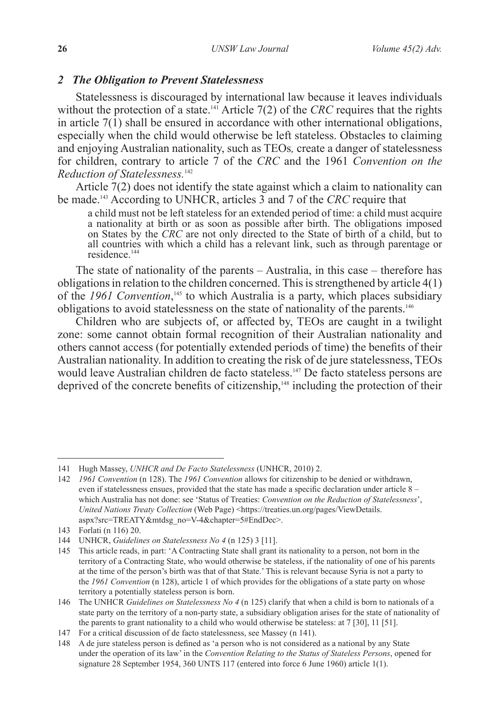### *2 The Obligation to Prevent Statelessness*

Statelessness is discouraged by international law because it leaves individuals without the protection of a state.<sup>141</sup> Article  $7(2)$  of the *CRC* requires that the rights in article  $7(1)$  shall be ensured in accordance with other international obligations, especially when the child would otherwise be left stateless. Obstacles to claiming and enjoying Australian nationality, such as TEOs*,* create a danger of statelessness for children, contrary to article 7 of the *CRC* and the 1961 *Convention on the Reduction of Statelessness.*<sup>142</sup>

Article 7(2) does not identify the state against which a claim to nationality can be made.143 According to UNHCR, articles 3 and 7 of the *CRC* require that

a child must not be left stateless for an extended period of time: a child must acquire a nationality at birth or as soon as possible after birth. The obligations imposed on States by the *CRC* are not only directed to the State of birth of a child, but to all countries with which a child has a relevant link, such as through parentage or residence.<sup>144</sup>

The state of nationality of the parents – Australia, in this case – therefore has obligations in relation to the children concerned. This is strengthened by article 4(1) of the *1961 Convention*,<sup>145</sup> to which Australia is a party, which places subsidiary obligations to avoid statelessness on the state of nationality of the parents.<sup>146</sup>

Children who are subjects of, or affected by, TEOs are caught in a twilight zone: some cannot obtain formal recognition of their Australian nationality and others cannot access (for potentially extended periods of time) the benefits of their Australian nationality. In addition to creating the risk of de jure statelessness, TEOs would leave Australian children de facto stateless.<sup>147</sup> De facto stateless persons are deprived of the concrete benefits of citizenship,<sup>148</sup> including the protection of their

<sup>141</sup> Hugh Massey, *UNHCR and De Facto Statelessness* (UNHCR, 2010) 2.

<sup>142</sup> *1961 Convention* (n 128). The *1961 Convention* allows for citizenship to be denied or withdrawn, even if statelessness ensues, provided that the state has made a specific declaration under article 8 – which Australia has not done: see 'Status of Treaties: *Convention on the Reduction of Statelessness*', *United Nations Treaty Collection* (Web Page) <https://treaties.un.org/pages/ViewDetails. aspx?src=TREATY&mtdsg\_no=V-4&chapter=5#EndDec>.

<sup>143</sup> Forlati (n 116) 20.

<sup>144</sup> UNHCR, *Guidelines on Statelessness No 4* (n 125) 3 [11].

<sup>145</sup> This article reads, in part: 'A Contracting State shall grant its nationality to a person, not born in the territory of a Contracting State, who would otherwise be stateless, if the nationality of one of his parents at the time of the person's birth was that of that State.' This is relevant because Syria is not a party to the *1961 Convention* (n 128), article 1 of which provides for the obligations of a state party on whose territory a potentially stateless person is born.

<sup>146</sup> The UNHCR *Guidelines on Statelessness No 4* (n 125) clarify that when a child is born to nationals of a state party on the territory of a non-party state, a subsidiary obligation arises for the state of nationality of the parents to grant nationality to a child who would otherwise be stateless: at 7 [30], 11 [51].

<sup>147</sup> For a critical discussion of de facto statelessness, see Massey (n 141).

<sup>148</sup> A de jure stateless person is defined as 'a person who is not considered as a national by any State under the operation of its law' in the *Convention Relating to the Status of Stateless Persons*, opened for signature 28 September 1954, 360 UNTS 117 (entered into force 6 June 1960) article 1(1).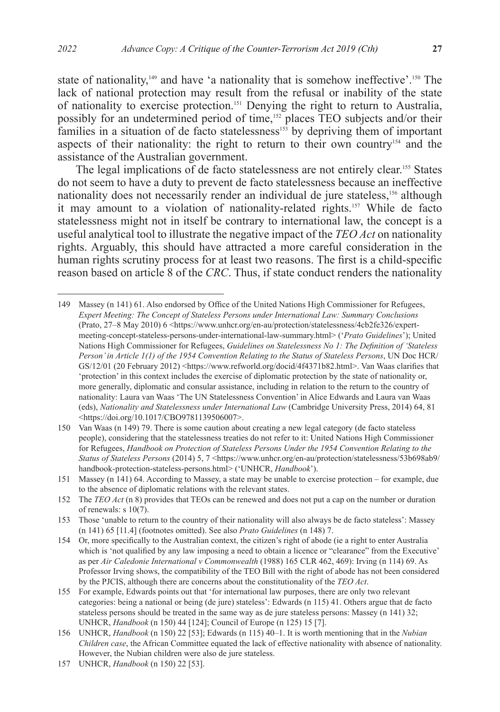state of nationality,<sup>149</sup> and have 'a nationality that is somehow ineffective'.<sup>150</sup> The lack of national protection may result from the refusal or inability of the state of nationality to exercise protection.151 Denying the right to return to Australia, possibly for an undetermined period of time,152 places TEO subjects and/or their families in a situation of de facto statelessness<sup>153</sup> by depriving them of important aspects of their nationality: the right to return to their own country<sup>154</sup> and the assistance of the Australian government.

The legal implications of de facto statelessness are not entirely clear.155 States do not seem to have a duty to prevent de facto statelessness because an ineffective nationality does not necessarily render an individual de jure stateless,<sup>156</sup> although it may amount to a violation of nationality-related rights.157 While de facto statelessness might not in itself be contrary to international law, the concept is a useful analytical tool to illustrate the negative impact of the *TEO Act* on nationality rights. Arguably, this should have attracted a more careful consideration in the human rights scrutiny process for at least two reasons. The first is a child-specific reason based on article 8 of the *CRC*. Thus, if state conduct renders the nationality

<sup>149</sup> Massey (n 141) 61. Also endorsed by Office of the United Nations High Commissioner for Refugees, *Expert Meeting: The Concept of Stateless Persons under International Law: Summary Conclusions* (Prato, 27–8 May 2010) 6 <https://www.unhcr.org/en-au/protection/statelessness/4cb2fe326/expertmeeting-concept-stateless-persons-under-international-law-summary.html> ('*Prato Guidelines*'); United Nations High Commissioner for Refugees, *Guidelines on Statelessness No 1: The Definition of 'Stateless Person' in Article 1(1) of the 1954 Convention Relating to the Status of Stateless Persons*, UN Doc HCR/ GS/12/01 (20 February 2012) <https://www.refworld.org/docid/4f4371b82.html>. Van Waas clarifies that 'protection' in this context includes the exercise of diplomatic protection by the state of nationality or, more generally, diplomatic and consular assistance, including in relation to the return to the country of nationality: Laura van Waas 'The UN Statelessness Convention' in Alice Edwards and Laura van Waas (eds), *Nationality and Statelessness under International Law* (Cambridge University Press, 2014) 64, 81 <https://doi.org/10.1017/CBO9781139506007>.

<sup>150</sup> Van Waas (n 149) 79. There is some caution about creating a new legal category (de facto stateless people), considering that the statelessness treaties do not refer to it: United Nations High Commissioner for Refugees, *Handbook on Protection of Stateless Persons Under the 1954 Convention Relating to the Status of Stateless Persons* (2014) 5, 7 <https://www.unhcr.org/en-au/protection/statelessness/53b698ab9/ handbook-protection-stateless-persons.html> ('UNHCR, *Handbook*').

<sup>151</sup> Massey (n 141) 64. According to Massey, a state may be unable to exercise protection – for example, due to the absence of diplomatic relations with the relevant states.

<sup>152</sup> The *TEO Act* (n 8) provides that TEOs can be renewed and does not put a cap on the number or duration of renewals: s 10(7).

<sup>153</sup> Those 'unable to return to the country of their nationality will also always be de facto stateless': Massey (n 141) 65 [11.4] (footnotes omitted). See also *Prato Guidelines* (n 148) 7.

<sup>154</sup> Or, more specifically to the Australian context, the citizen's right of abode (ie a right to enter Australia which is 'not qualified by any law imposing a need to obtain a licence or "clearance" from the Executive' as per *Air Caledonie International v Commonwealth* (1988) 165 CLR 462, 469): Irving (n 114) 69. As Professor Irving shows, the compatibility of the TEO Bill with the right of abode has not been considered by the PJCIS, although there are concerns about the constitutionality of the *TEO Act*.

<sup>155</sup> For example, Edwards points out that 'for international law purposes, there are only two relevant categories: being a national or being (de jure) stateless': Edwards (n 115) 41. Others argue that de facto stateless persons should be treated in the same way as de jure stateless persons: Massey (n 141) 32; UNHCR, *Handbook* (n 150) 44 [124]; Council of Europe (n 125) 15 [7].

<sup>156</sup> UNHCR, *Handbook* (n 150) 22 [53]; Edwards (n 115) 40–1. It is worth mentioning that in the *Nubian Children case*, the African Committee equated the lack of effective nationality with absence of nationality. However, the Nubian children were also de jure stateless.

<sup>157</sup> UNHCR, *Handbook* (n 150) 22 [53].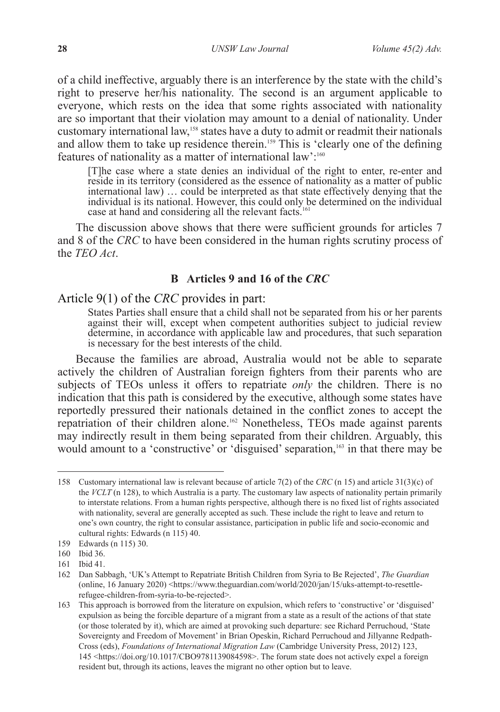of a child ineffective, arguably there is an interference by the state with the child's right to preserve her/his nationality. The second is an argument applicable to everyone, which rests on the idea that some rights associated with nationality are so important that their violation may amount to a denial of nationality. Under customary international law,<sup>158</sup> states have a duty to admit or readmit their nationals and allow them to take up residence therein.<sup>159</sup> This is 'clearly one of the defining features of nationality as a matter of international law':<sup>160</sup>

[T]he case where a state denies an individual of the right to enter, re-enter and reside in its territory (considered as the essence of nationality as a matter of public international law) … could be interpreted as that state effectively denying that the individual is its national. However, this could only be determined on the individual case at hand and considering all the relevant facts.<sup>161</sup>

The discussion above shows that there were sufficient grounds for articles 7 and 8 of the *CRC* to have been considered in the human rights scrutiny process of the *TEO Act*.

### **B Articles 9 and 16 of the** *CRC*

## Article 9(1) of the *CRC* provides in part:

States Parties shall ensure that a child shall not be separated from his or her parents against their will, except when competent authorities subject to judicial review determine, in accordance with applicable law and procedures, that such separation is necessary for the best interests of the child.

Because the families are abroad, Australia would not be able to separate actively the children of Australian foreign fighters from their parents who are subjects of TEOs unless it offers to repatriate *only* the children. There is no indication that this path is considered by the executive, although some states have reportedly pressured their nationals detained in the conflict zones to accept the repatriation of their children alone.162 Nonetheless, TEOs made against parents may indirectly result in them being separated from their children. Arguably, this would amount to a 'constructive' or 'disguised' separation,<sup>163</sup> in that there may be

<sup>158</sup> Customary international law is relevant because of article 7(2) of the *CRC* (n 15) and article 31(3)(c) of the *VCLT* (n 128), to which Australia is a party. The customary law aspects of nationality pertain primarily to interstate relations. From a human rights perspective, although there is no fixed list of rights associated with nationality, several are generally accepted as such. These include the right to leave and return to one's own country, the right to consular assistance, participation in public life and socio-economic and cultural rights: Edwards (n 115) 40.

<sup>159</sup> Edwards (n 115) 30.

<sup>160</sup> Ibid 36.

<sup>161</sup> Ibid 41.

<sup>162</sup> Dan Sabbagh, 'UK's Attempt to Repatriate British Children from Syria to Be Rejected', *The Guardian* (online, 16 January 2020) <https://www.theguardian.com/world/2020/jan/15/uks-attempt-to-resettlerefugee-children-from-syria-to-be-rejected>.

<sup>163</sup> This approach is borrowed from the literature on expulsion, which refers to 'constructive' or 'disguised' expulsion as being the forcible departure of a migrant from a state as a result of the actions of that state (or those tolerated by it), which are aimed at provoking such departure: see Richard Perruchoud, 'State Sovereignty and Freedom of Movement' in Brian Opeskin, Richard Perruchoud and Jillyanne Redpath-Cross (eds), *Foundations of International Migration Law* (Cambridge University Press, 2012) 123, 145 <https://doi.org/10.1017/CBO9781139084598>. The forum state does not actively expel a foreign resident but, through its actions, leaves the migrant no other option but to leave.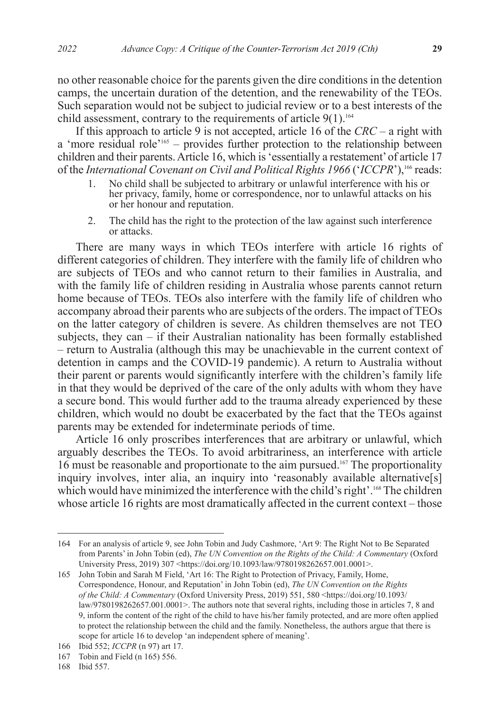no other reasonable choice for the parents given the dire conditions in the detention camps, the uncertain duration of the detention, and the renewability of the TEOs. Such separation would not be subject to judicial review or to a best interests of the child assessment, contrary to the requirements of article  $9(1)$ .<sup>164</sup>

If this approach to article 9 is not accepted, article 16 of the *CRC* – a right with a 'more residual role'165 – provides further protection to the relationship between children and their parents. Article 16, which is 'essentially a restatement' of article 17 of the *International Covenant on Civil and Political Rights 1966* ('*ICCPR*'),<sup>166</sup> reads:<br>1. No child shall be subjected to arbitrary or unlawful interference with his or

- 1. No child shall be subjected to arbitrary or unlawful interference with his or her privacy, family, home or correspondence, nor to unlawful attacks on his or her honour and reputation.
- 2. The child has the right to the protection of the law against such interference or attacks.

There are many ways in which TEOs interfere with article 16 rights of different categories of children. They interfere with the family life of children who are subjects of TEOs and who cannot return to their families in Australia, and with the family life of children residing in Australia whose parents cannot return home because of TEOs. TEOs also interfere with the family life of children who accompany abroad their parents who are subjects of the orders. The impact of TEOs on the latter category of children is severe. As children themselves are not TEO subjects, they can – if their Australian nationality has been formally established – return to Australia (although this may be unachievable in the current context of detention in camps and the COVID-19 pandemic). A return to Australia without their parent or parents would significantly interfere with the children's family life in that they would be deprived of the care of the only adults with whom they have a secure bond. This would further add to the trauma already experienced by these children, which would no doubt be exacerbated by the fact that the TEOs against parents may be extended for indeterminate periods of time.

Article 16 only proscribes interferences that are arbitrary or unlawful, which arguably describes the TEOs. To avoid arbitrariness, an interference with article 16 must be reasonable and proportionate to the aim pursued.167 The proportionality inquiry involves, inter alia, an inquiry into 'reasonably available alternative[s] which would have minimized the interference with the child's right'.<sup>168</sup> The children whose article 16 rights are most dramatically affected in the current context – those

<sup>164</sup> For an analysis of article 9, see John Tobin and Judy Cashmore, 'Art 9: The Right Not to Be Separated from Parents' in John Tobin (ed), *The UN Convention on the Rights of the Child: A Commentary* (Oxford University Press, 2019) 307 <https://doi.org/10.1093/law/9780198262657.001.0001>.

<sup>165</sup> John Tobin and Sarah M Field, 'Art 16: The Right to Protection of Privacy, Family, Home, Correspondence, Honour, and Reputation' in John Tobin (ed), *The UN Convention on the Rights of the Child: A Commentary* (Oxford University Press, 2019) 551, 580 <https://doi.org/10.1093/ law/9780198262657.001.0001>. The authors note that several rights, including those in articles 7, 8 and 9, inform the content of the right of the child to have his/her family protected, and are more often applied to protect the relationship between the child and the family. Nonetheless, the authors argue that there is scope for article 16 to develop 'an independent sphere of meaning'.

<sup>166</sup> Ibid 552; *ICCPR* (n 97) art 17.

<sup>167</sup> Tobin and Field (n 165) 556.

<sup>168</sup> Ibid 557.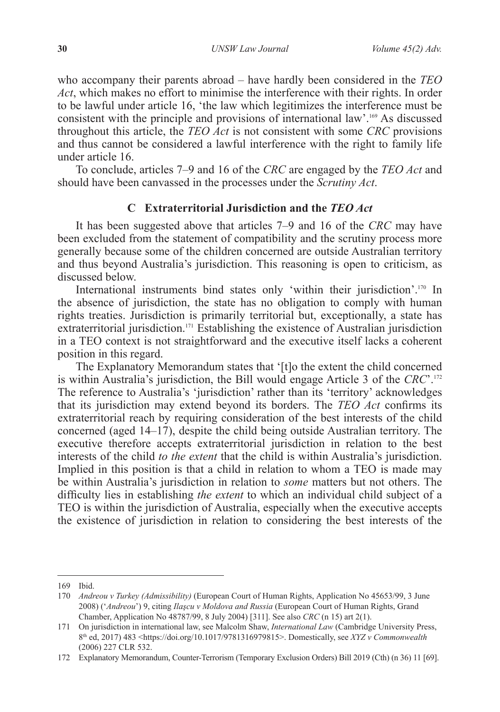who accompany their parents abroad – have hardly been considered in the *TEO Act*, which makes no effort to minimise the interference with their rights. In order to be lawful under article 16, 'the law which legitimizes the interference must be consistent with the principle and provisions of international law'.169 As discussed throughout this article, the *TEO Act* is not consistent with some *CRC* provisions and thus cannot be considered a lawful interference with the right to family life under article 16.

To conclude, articles 7–9 and 16 of the *CRC* are engaged by the *TEO Act* and should have been canvassed in the processes under the *Scrutiny Act*.

#### **C Extraterritorial Jurisdiction and the** *TEO Act*

It has been suggested above that articles 7–9 and 16 of the *CRC* may have been excluded from the statement of compatibility and the scrutiny process more generally because some of the children concerned are outside Australian territory and thus beyond Australia's jurisdiction. This reasoning is open to criticism, as discussed below.

International instruments bind states only 'within their jurisdiction'.<sup>170</sup> In the absence of jurisdiction, the state has no obligation to comply with human rights treaties. Jurisdiction is primarily territorial but, exceptionally, a state has extraterritorial jurisdiction.<sup>171</sup> Establishing the existence of Australian jurisdiction in a TEO context is not straightforward and the executive itself lacks a coherent position in this regard.

The Explanatory Memorandum states that '[t]o the extent the child concerned is within Australia's jurisdiction, the Bill would engage Article 3 of the *CRC*'.172 The reference to Australia's 'jurisdiction' rather than its 'territory' acknowledges that its jurisdiction may extend beyond its borders. The *TEO Act* confirms its extraterritorial reach by requiring consideration of the best interests of the child concerned (aged 14–17), despite the child being outside Australian territory. The executive therefore accepts extraterritorial jurisdiction in relation to the best interests of the child *to the extent* that the child is within Australia's jurisdiction. Implied in this position is that a child in relation to whom a TEO is made may be within Australia's jurisdiction in relation to *some* matters but not others. The difficulty lies in establishing *the extent* to which an individual child subject of a TEO is within the jurisdiction of Australia, especially when the executive accepts the existence of jurisdiction in relation to considering the best interests of the

<sup>169</sup> Ibid.

<sup>170</sup> *Andreou v Turkey (Admissibility)* (European Court of Human Rights, Application No 45653/99, 3 June 2008) ('*Andreou*') 9, citing *Ilaşcu v Moldova and Russia* (European Court of Human Rights, Grand Chamber, Application No 48787/99, 8 July 2004) [311]. See also *CRC* (n 15) art 2(1).

<sup>171</sup> On jurisdiction in international law, see Malcolm Shaw, *International Law* (Cambridge University Press, 8th ed, 2017) 483 <https://doi.org/10.1017/9781316979815>. Domestically, see *XYZ v Commonwealth* (2006) 227 CLR 532.

<sup>172</sup> Explanatory Memorandum, Counter-Terrorism (Temporary Exclusion Orders) Bill 2019 (Cth) (n 36) 11 [69].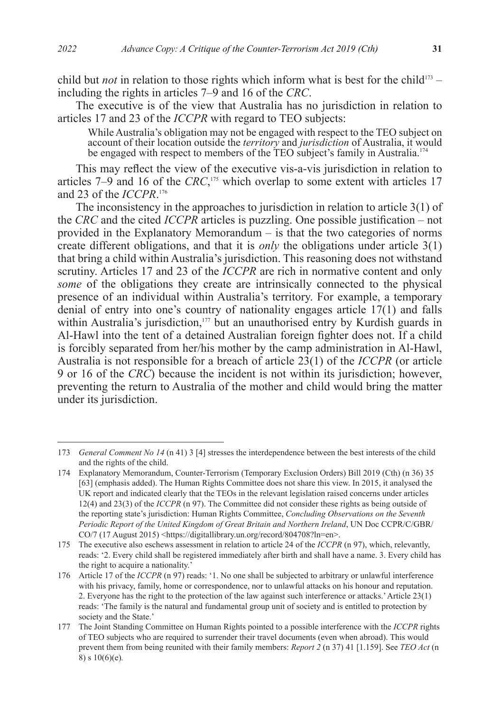child but *not* in relation to those rights which inform what is best for the child<sup>173</sup> – including the rights in articles 7–9 and 16 of the *CRC*.

The executive is of the view that Australia has no jurisdiction in relation to articles 17 and 23 of the *ICCPR* with regard to TEO subjects:

While Australia's obligation may not be engaged with respect to the TEO subject on account of their location outside the *territory* and *jurisdiction* of Australia, it would be engaged with respect to members of the TEO subject's family in Australia.<sup>174</sup>

This may reflect the view of the executive vis-a-vis jurisdiction in relation to articles 7–9 and 16 of the *CRC*,<sup>175</sup> which overlap to some extent with articles 17 and 23 of the *ICCPR*. 176

The inconsistency in the approaches to jurisdiction in relation to article 3(1) of the *CRC* and the cited *ICCPR* articles is puzzling. One possible justification – not provided in the Explanatory Memorandum – is that the two categories of norms create different obligations, and that it is *only* the obligations under article 3(1) that bring a child within Australia's jurisdiction. This reasoning does not withstand scrutiny. Articles 17 and 23 of the *ICCPR* are rich in normative content and only *some* of the obligations they create are intrinsically connected to the physical presence of an individual within Australia's territory. For example, a temporary denial of entry into one's country of nationality engages article 17(1) and falls within Australia's jurisdiction,<sup>177</sup> but an unauthorised entry by Kurdish guards in Al-Hawl into the tent of a detained Australian foreign fighter does not. If a child is forcibly separated from her/his mother by the camp administration in Al-Hawl, Australia is not responsible for a breach of article 23(1) of the *ICCPR* (or article 9 or 16 of the *CRC*) because the incident is not within its jurisdiction; however, preventing the return to Australia of the mother and child would bring the matter under its jurisdiction.

<sup>173</sup> *General Comment No 14* (n 41) 3 [4] stresses the interdependence between the best interests of the child and the rights of the child.

<sup>174</sup> Explanatory Memorandum, Counter-Terrorism (Temporary Exclusion Orders) Bill 2019 (Cth) (n 36) 35 [63] (emphasis added). The Human Rights Committee does not share this view. In 2015, it analysed the UK report and indicated clearly that the TEOs in the relevant legislation raised concerns under articles 12(4) and 23(3) of the *ICCPR* (n 97). The Committee did not consider these rights as being outside of the reporting state's jurisdiction: Human Rights Committee, *Concluding Observations on the Seventh Periodic Report of the United Kingdom of Great Britain and Northern Ireland*, UN Doc CCPR/C/GBR/ CO/7 (17 August 2015) <https://digitallibrary.un.org/record/804708?ln=en>.

<sup>175</sup> The executive also eschews assessment in relation to article 24 of the *ICCPR* (n 97), which, relevantly, reads: '2. Every child shall be registered immediately after birth and shall have a name. 3. Every child has the right to acquire a nationality.'

<sup>176</sup> Article 17 of the *ICCPR* (n 97) reads: '1. No one shall be subjected to arbitrary or unlawful interference with his privacy, family, home or correspondence, nor to unlawful attacks on his honour and reputation. 2. Everyone has the right to the protection of the law against such interference or attacks.' Article 23(1) reads: 'The family is the natural and fundamental group unit of society and is entitled to protection by society and the State.'

<sup>177</sup> The Joint Standing Committee on Human Rights pointed to a possible interference with the *ICCPR* rights of TEO subjects who are required to surrender their travel documents (even when abroad). This would prevent them from being reunited with their family members: *Report 2* (n 37) 41 [1.159]. See *TEO Act* (n 8) s 10(6)(e)*.*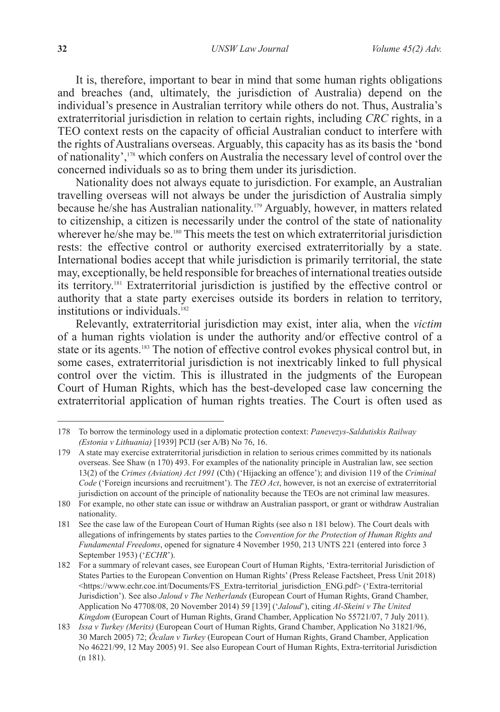It is, therefore, important to bear in mind that some human rights obligations and breaches (and, ultimately, the jurisdiction of Australia) depend on the individual's presence in Australian territory while others do not. Thus, Australia's extraterritorial jurisdiction in relation to certain rights, including *CRC* rights, in a TEO context rests on the capacity of official Australian conduct to interfere with the rights of Australians overseas. Arguably, this capacity has as its basis the 'bond of nationality',178 which confers on Australia the necessary level of control over the concerned individuals so as to bring them under its jurisdiction.

Nationality does not always equate to jurisdiction. For example, an Australian travelling overseas will not always be under the jurisdiction of Australia simply because he/she has Australian nationality.<sup>179</sup> Arguably, however, in matters related to citizenship, a citizen is necessarily under the control of the state of nationality wherever he/she may be.<sup>180</sup> This meets the test on which extraterritorial jurisdiction rests: the effective control or authority exercised extraterritorially by a state. International bodies accept that while jurisdiction is primarily territorial, the state may, exceptionally, be held responsible for breaches of international treaties outside its territory.181 Extraterritorial jurisdiction is justified by the effective control or authority that a state party exercises outside its borders in relation to territory, institutions or individuals.<sup>182</sup>

Relevantly, extraterritorial jurisdiction may exist, inter alia, when the *victim* of a human rights violation is under the authority and/or effective control of a state or its agents.<sup>183</sup> The notion of effective control evokes physical control but, in some cases, extraterritorial jurisdiction is not inextricably linked to full physical control over the victim. This is illustrated in the judgments of the European Court of Human Rights, which has the best-developed case law concerning the extraterritorial application of human rights treaties. The Court is often used as

<sup>178</sup> To borrow the terminology used in a diplomatic protection context: *Panevezys-Saldutiskis Railway (Estonia v Lithuania)* [1939] PCIJ (ser A/B) No 76, 16.

<sup>179</sup> A state may exercise extraterritorial jurisdiction in relation to serious crimes committed by its nationals overseas. See Shaw (n 170) 493. For examples of the nationality principle in Australian law, see section 13(2) of the *Crimes (Aviation) Act 1991* (Cth) ('Hijacking an offence'); and division 119 of the *Criminal Code* ('Foreign incursions and recruitment'). The *TEO Act*, however, is not an exercise of extraterritorial jurisdiction on account of the principle of nationality because the TEOs are not criminal law measures.

<sup>180</sup> For example, no other state can issue or withdraw an Australian passport, or grant or withdraw Australian nationality.

<sup>181</sup> See the case law of the European Court of Human Rights (see also n 181 below). The Court deals with allegations of infringements by states parties to the *Convention for the Protection of Human Rights and Fundamental Freedoms*, opened for signature 4 November 1950, 213 UNTS 221 (entered into force 3 September 1953) ('*ECHR*').

<sup>182</sup> For a summary of relevant cases, see European Court of Human Rights, 'Extra-territorial Jurisdiction of States Parties to the European Convention on Human Rights' (Press Release Factsheet, Press Unit 2018) <https://www.echr.coe.int/Documents/FS\_Extra-territorial\_jurisdiction\_ENG.pdf> ('Extra-territorial Jurisdiction'). See also *Jaloud v The Netherlands* (European Court of Human Rights, Grand Chamber, Application No 47708/08, 20 November 2014) 59 [139] ('*Jaloud*'), citing *Al-Skeini v The United Kingdom* (European Court of Human Rights, Grand Chamber, Application No 55721/07, 7 July 2011).

<sup>183</sup> *Issa v Turkey (Merits)* (European Court of Human Rights, Grand Chamber, Application No 31821/96, 30 March 2005) 72; *Öcalan v Turkey* (European Court of Human Rights, Grand Chamber, Application No 46221/99, 12 May 2005) 91. See also European Court of Human Rights, Extra-territorial Jurisdiction (n 181).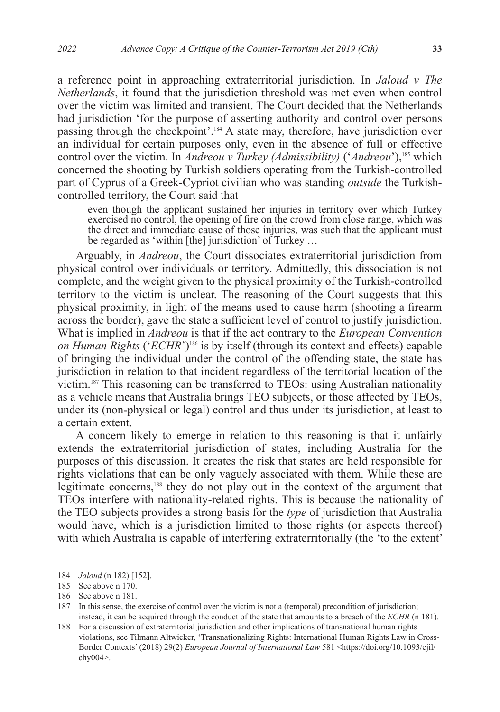a reference point in approaching extraterritorial jurisdiction. In *Jaloud v The Netherlands*, it found that the jurisdiction threshold was met even when control over the victim was limited and transient. The Court decided that the Netherlands had jurisdiction 'for the purpose of asserting authority and control over persons passing through the checkpoint'.184 A state may, therefore, have jurisdiction over an individual for certain purposes only, even in the absence of full or effective control over the victim. In *Andreou v Turkey (Admissibility)* ('*Andreou*'),<sup>185</sup> which concerned the shooting by Turkish soldiers operating from the Turkish-controlled part of Cyprus of a Greek-Cypriot civilian who was standing *outside* the Turkishcontrolled territory, the Court said that

even though the applicant sustained her injuries in territory over which Turkey exercised no control, the opening of fire on the crowd from close range, which was the direct and immediate cause of those injuries, was such that the applicant must be regarded as 'within [the] jurisdiction' of Turkey …

Arguably, in *Andreou*, the Court dissociates extraterritorial jurisdiction from physical control over individuals or territory. Admittedly, this dissociation is not complete, and the weight given to the physical proximity of the Turkish-controlled territory to the victim is unclear. The reasoning of the Court suggests that this physical proximity, in light of the means used to cause harm (shooting a firearm across the border), gave the state a sufficient level of control to justify jurisdiction. What is implied in *Andreou* is that if the act contrary to the *European Convention on Human Rights* ('*ECHR*')186 is by itself (through its context and effects) capable of bringing the individual under the control of the offending state, the state has jurisdiction in relation to that incident regardless of the territorial location of the victim.187 This reasoning can be transferred to TEOs: using Australian nationality as a vehicle means that Australia brings TEO subjects, or those affected by TEOs, under its (non-physical or legal) control and thus under its jurisdiction, at least to a certain extent.

A concern likely to emerge in relation to this reasoning is that it unfairly extends the extraterritorial jurisdiction of states, including Australia for the purposes of this discussion. It creates the risk that states are held responsible for rights violations that can be only vaguely associated with them. While these are legitimate concerns,<sup>188</sup> they do not play out in the context of the argument that TEOs interfere with nationality-related rights. This is because the nationality of the TEO subjects provides a strong basis for the *type* of jurisdiction that Australia would have, which is a jurisdiction limited to those rights (or aspects thereof) with which Australia is capable of interfering extraterritorially (the 'to the extent'

<sup>184</sup> *Jaloud* (n 182) [152].

<sup>185</sup> See above n 170.

<sup>186</sup> See above n 181.

<sup>187</sup> In this sense, the exercise of control over the victim is not a (temporal) precondition of jurisdiction; instead, it can be acquired through the conduct of the state that amounts to a breach of the *ECHR* (n 181).

<sup>188</sup> For a discussion of extraterritorial jurisdiction and other implications of transnational human rights violations, see Tilmann Altwicker, 'Transnationalizing Rights: International Human Rights Law in Cross-Border Contexts' (2018) 29(2) *European Journal of International Law* 581 <https://doi.org/10.1093/ejil/ chy004>.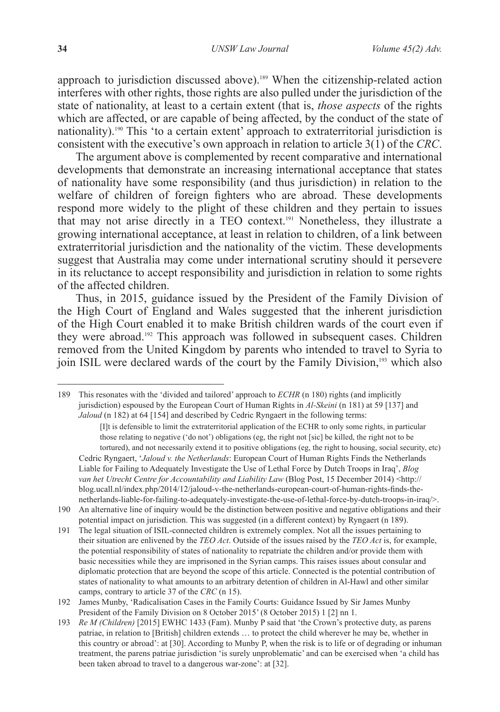approach to jurisdiction discussed above).<sup>189</sup> When the citizenship-related action interferes with other rights, those rights are also pulled under the jurisdiction of the state of nationality, at least to a certain extent (that is, *those aspects* of the rights which are affected, or are capable of being affected, by the conduct of the state of nationality).190 This 'to a certain extent' approach to extraterritorial jurisdiction is consistent with the executive's own approach in relation to article 3(1) of the *CRC*.

The argument above is complemented by recent comparative and international developments that demonstrate an increasing international acceptance that states of nationality have some responsibility (and thus jurisdiction) in relation to the welfare of children of foreign fighters who are abroad. These developments respond more widely to the plight of these children and they pertain to issues that may not arise directly in a TEO context.191 Nonetheless, they illustrate a growing international acceptance, at least in relation to children, of a link between extraterritorial jurisdiction and the nationality of the victim. These developments suggest that Australia may come under international scrutiny should it persevere in its reluctance to accept responsibility and jurisdiction in relation to some rights of the affected children.

Thus, in 2015, guidance issued by the President of the Family Division of the High Court of England and Wales suggested that the inherent jurisdiction of the High Court enabled it to make British children wards of the court even if they were abroad.192 This approach was followed in subsequent cases. Children removed from the United Kingdom by parents who intended to travel to Syria to join ISIL were declared wards of the court by the Family Division,<sup>193</sup> which also

<sup>189</sup> This resonates with the 'divided and tailored' approach to *ECHR* (n 180) rights (and implicitly jurisdiction) espoused by the European Court of Human Rights in *Al-Skeini* (n 181) at 59 [137] and *Jaloud* (n 182) at 64 [154] and described by Cedric Ryngaert in the following terms:

<sup>[</sup>I]t is defensible to limit the extraterritorial application of the ECHR to only some rights, in particular those relating to negative ('do not') obligations (eg, the right not [sic] be killed, the right not to be tortured), and not necessarily extend it to positive obligations (eg, the right to housing, social security, etc) Cedric Ryngaert, '*Jaloud v. the Netherlands*: European Court of Human Rights Finds the Netherlands Liable for Failing to Adequately Investigate the Use of Lethal Force by Dutch Troops in Iraq', *Blog*  van het Utrecht Centre for Accountability and Liability Law (Blog Post, 15 December 2014) <http:// blog.ucall.nl/index.php/2014/12/jaloud-v-the-netherlands-european-court-of-human-rights-finds-thenetherlands-liable-for-failing-to-adequately-investigate-the-use-of-lethal-force-by-dutch-troops-in-iraq/>.

<sup>190</sup> An alternative line of inquiry would be the distinction between positive and negative obligations and their potential impact on jurisdiction. This was suggested (in a different context) by Ryngaert (n 189).

<sup>191</sup> The legal situation of ISIL-connected children is extremely complex. Not all the issues pertaining to their situation are enlivened by the *TEO Act*. Outside of the issues raised by the *TEO Act* is, for example, the potential responsibility of states of nationality to repatriate the children and/or provide them with basic necessities while they are imprisoned in the Syrian camps. This raises issues about consular and diplomatic protection that are beyond the scope of this article. Connected is the potential contribution of states of nationality to what amounts to an arbitrary detention of children in Al-Hawl and other similar camps, contrary to article 37 of the *CRC* (n 15).

<sup>192</sup> James Munby, 'Radicalisation Cases in the Family Courts: Guidance Issued by Sir James Munby President of the Family Division on 8 October 2015' (8 October 2015) 1 [2] nn 1.

<sup>193</sup> *Re M (Children)* [2015] EWHC 1433 (Fam). Munby P said that 'the Crown's protective duty, as parens patriae, in relation to [British] children extends … to protect the child wherever he may be, whether in this country or abroad': at [30]. According to Munby P, when the risk is to life or of degrading or inhuman treatment, the parens patriae jurisdiction 'is surely unproblematic' and can be exercised when 'a child has been taken abroad to travel to a dangerous war-zone': at [32].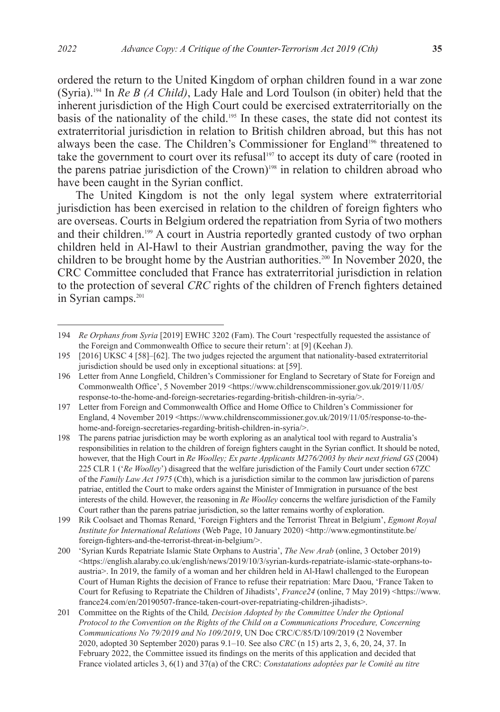ordered the return to the United Kingdom of orphan children found in a war zone (Syria).194 In *Re B (A Child)*, Lady Hale and Lord Toulson (in obiter) held that the inherent jurisdiction of the High Court could be exercised extraterritorially on the basis of the nationality of the child.195 In these cases, the state did not contest its extraterritorial jurisdiction in relation to British children abroad, but this has not always been the case. The Children's Commissioner for England<sup>196</sup> threatened to take the government to court over its refusal<sup>197</sup> to accept its duty of care (rooted in the parens patriae jurisdiction of the Crown)<sup>198</sup> in relation to children abroad who have been caught in the Syrian conflict.

The United Kingdom is not the only legal system where extraterritorial jurisdiction has been exercised in relation to the children of foreign fighters who are overseas. Courts in Belgium ordered the repatriation from Syria of two mothers and their children.199 A court in Austria reportedly granted custody of two orphan children held in Al-Hawl to their Austrian grandmother, paving the way for the children to be brought home by the Austrian authorities.<sup>200</sup> In November 2020, the CRC Committee concluded that France has extraterritorial jurisdiction in relation to the protection of several *CRC* rights of the children of French fighters detained in Syrian camps.<sup>201</sup>

<sup>194</sup> *Re Orphans from Syria* [2019] EWHC 3202 (Fam). The Court 'respectfully requested the assistance of the Foreign and Commonwealth Office to secure their return': at [9] (Keehan J).

<sup>195</sup> [2016] UKSC 4 [58]–[62]. The two judges rejected the argument that nationality-based extraterritorial jurisdiction should be used only in exceptional situations: at [59].

<sup>196</sup> Letter from Anne Longfield, Children's Commissioner for England to Secretary of State for Foreign and Commonwealth Office', 5 November 2019 <https://www.childrenscommissioner.gov.uk/2019/11/05/ response-to-the-home-and-foreign-secretaries-regarding-british-children-in-syria/>.

<sup>197</sup> Letter from Foreign and Commonwealth Office and Home Office to Children's Commissioner for England, 4 November 2019 <https://www.childrenscommissioner.gov.uk/2019/11/05/response-to-thehome-and-foreign-secretaries-regarding-british-children-in-syria/>.

<sup>198</sup> The parens patriae jurisdiction may be worth exploring as an analytical tool with regard to Australia's responsibilities in relation to the children of foreign fighters caught in the Syrian conflict. It should be noted, however, that the High Court in *Re Woolley; Ex parte Applicants M276/2003 by their next friend GS* (2004) 225 CLR 1 ('*Re Woolley*') disagreed that the welfare jurisdiction of the Family Court under section 67ZC of the *Family Law Act 1975* (Cth), which is a jurisdiction similar to the common law jurisdiction of parens patriae, entitled the Court to make orders against the Minister of Immigration in pursuance of the best interests of the child. However, the reasoning in *Re Woolley* concerns the welfare jurisdiction of the Family Court rather than the parens patriae jurisdiction, so the latter remains worthy of exploration.

<sup>199</sup> Rik Coolsaet and Thomas Renard, 'Foreign Fighters and the Terrorist Threat in Belgium', *Egmont Royal Institute for International Relations* (Web Page, 10 January 2020) <http://www.egmontinstitute.be/ foreign-fighters-and-the-terrorist-threat-in-belgium/>.

<sup>200</sup> 'Syrian Kurds Repatriate Islamic State Orphans to Austria', *The New Arab* (online, 3 October 2019)  $\langle$ https://english.alaraby.co.uk/english/news/2019/10/3/syrian-kurds-repatriate-islamic-state-orphans-toaustria>. In 2019, the family of a woman and her children held in Al-Hawl challenged to the European Court of Human Rights the decision of France to refuse their repatriation: Marc Daou, 'France Taken to Court for Refusing to Repatriate the Children of Jihadists', *France24* (online, 7 May 2019) <https://www. france24.com/en/20190507-france-taken-court-over-repatriating-children-jihadists>.

<sup>201</sup> Committee on the Rights of the Child*, Decision Adopted by the Committee Under the Optional Protocol to the Convention on the Rights of the Child on a Communications Procedure, Concerning Communications No 79/2019 and No 109/2019*, UN Doc CRC/C/85/D/109/2019 (2 November 2020, adopted 30 September 2020) paras 9.1–10. See also *CRC* (n 15) arts 2, 3, 6, 20, 24, 37. In February 2022, the Committee issued its findings on the merits of this application and decided that France violated articles 3, 6(1) and 37(a) of the CRC: *Constatations adoptées par le Comité au titre*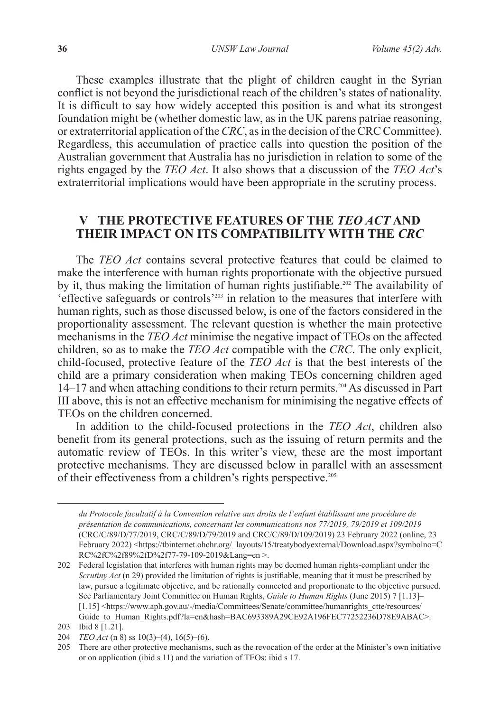These examples illustrate that the plight of children caught in the Syrian conflict is not beyond the jurisdictional reach of the children's states of nationality. It is difficult to say how widely accepted this position is and what its strongest foundation might be (whether domestic law, as in the UK parens patriae reasoning, or extraterritorial application of the *CRC*, as in the decision of the CRC Committee). Regardless, this accumulation of practice calls into question the position of the Australian government that Australia has no jurisdiction in relation to some of the rights engaged by the *TEO Act*. It also shows that a discussion of the *TEO Act*'s extraterritorial implications would have been appropriate in the scrutiny process.

### **V THE PROTECTIVE FEATURES OF THE** *TEO ACT* **AND THEIR IMPACT ON ITS COMPATIBILITY WITH THE** *CRC*

The *TEO Act* contains several protective features that could be claimed to make the interference with human rights proportionate with the objective pursued by it, thus making the limitation of human rights justifiable.<sup>202</sup> The availability of 'effective safeguards or controls'203 in relation to the measures that interfere with human rights, such as those discussed below, is one of the factors considered in the proportionality assessment. The relevant question is whether the main protective mechanisms in the *TEO Act* minimise the negative impact of TEOs on the affected children, so as to make the *TEO Act* compatible with the *CRC*. The only explicit, child-focused, protective feature of the *TEO Act* is that the best interests of the child are a primary consideration when making TEOs concerning children aged 14–17 and when attaching conditions to their return permits.204 As discussed in Part III above, this is not an effective mechanism for minimising the negative effects of TEOs on the children concerned.

In addition to the child-focused protections in the *TEO Act*, children also benefit from its general protections, such as the issuing of return permits and the automatic review of TEOs. In this writer's view, these are the most important protective mechanisms. They are discussed below in parallel with an assessment of their effectiveness from a children's rights perspective.<sup>205</sup>

*du Protocole facultatif à la Convention relative aux droits de l'enfant établissant une procédure de présentation de communications, concernant les communications nos 77/2019, 79/2019 et 109/2019* (CRC/C/89/D/77/2019, CRC/C/89/D/79/2019 and CRC/C/89/D/109/2019) 23 February 2022 (online, 23 February 2022) <https://tbinternet.ohchr.org/\_layouts/15/treatybodyexternal/Download.aspx?symbolno=C RC%2fC%2f89%2fD%2f77-79-109-2019&Lang=en >.

<sup>202</sup> Federal legislation that interferes with human rights may be deemed human rights-compliant under the *Scrutiny Act* (n 29) provided the limitation of rights is justifiable, meaning that it must be prescribed by law, pursue a legitimate objective, and be rationally connected and proportionate to the objective pursued. See Parliamentary Joint Committee on Human Rights, *Guide to Human Rights* (June 2015) 7 [1.13]– [1.15] <https://www.aph.gov.au/-/media/Committees/Senate/committee/humanrights\_ctte/resources/ Guide\_to\_Human\_Rights.pdf?la=en&hash=BAC693389A29CE92A196FEC77252236D78E9ABAC>.

<sup>203</sup> Ibid 8 [1.21].

<sup>204</sup> *TEO Act* (n 8) ss 10(3)–(4), 16(5)–(6).

<sup>205</sup> There are other protective mechanisms, such as the revocation of the order at the Minister's own initiative or on application (ibid s 11) and the variation of TEOs: ibid s 17.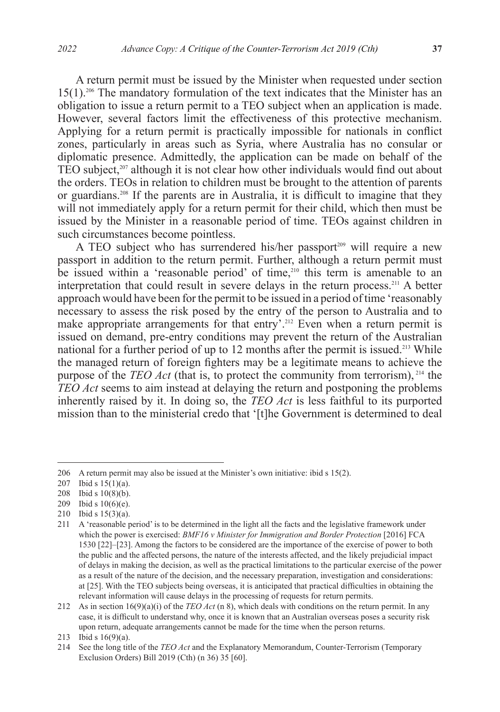A return permit must be issued by the Minister when requested under section 15(1).206 The mandatory formulation of the text indicates that the Minister has an obligation to issue a return permit to a TEO subject when an application is made. However, several factors limit the effectiveness of this protective mechanism. Applying for a return permit is practically impossible for nationals in conflict zones, particularly in areas such as Syria, where Australia has no consular or diplomatic presence. Admittedly, the application can be made on behalf of the TEO subject,<sup>207</sup> although it is not clear how other individuals would find out about the orders. TEOs in relation to children must be brought to the attention of parents or guardians.208 If the parents are in Australia, it is difficult to imagine that they will not immediately apply for a return permit for their child, which then must be issued by the Minister in a reasonable period of time. TEOs against children in such circumstances become pointless.

A TEO subject who has surrendered his/her passport<sup>209</sup> will require a new passport in addition to the return permit. Further, although a return permit must be issued within a 'reasonable period' of time,<sup>210</sup> this term is amenable to an interpretation that could result in severe delays in the return process.<sup>211</sup> A better approach would have been for the permit to be issued in a period of time 'reasonably necessary to assess the risk posed by the entry of the person to Australia and to make appropriate arrangements for that entry'.<sup>212</sup> Even when a return permit is issued on demand, pre-entry conditions may prevent the return of the Australian national for a further period of up to 12 months after the permit is issued.<sup>213</sup> While the managed return of foreign fighters may be a legitimate means to achieve the purpose of the *TEO Act* (that is, to protect the community from terrorism), <sup>214</sup> the *TEO Act* seems to aim instead at delaying the return and postponing the problems inherently raised by it. In doing so, the *TEO Act* is less faithful to its purported mission than to the ministerial credo that '[t]he Government is determined to deal

210 Ibid s 15(3)(a).

<sup>206</sup> A return permit may also be issued at the Minister's own initiative: ibid s 15(2).

<sup>207</sup> Ibid s  $15(1)(a)$ .

<sup>208</sup> Ibid s 10(8)(b).

<sup>209</sup> Ibid s 10(6)(e).

<sup>211</sup> A 'reasonable period' is to be determined in the light all the facts and the legislative framework under which the power is exercised: *BMF16 v Minister for Immigration and Border Protection* [2016] FCA 1530 [22]–[23]. Among the factors to be considered are the importance of the exercise of power to both the public and the affected persons, the nature of the interests affected, and the likely prejudicial impact of delays in making the decision, as well as the practical limitations to the particular exercise of the power as a result of the nature of the decision, and the necessary preparation, investigation and considerations: at [25]. With the TEO subjects being overseas, it is anticipated that practical difficulties in obtaining the relevant information will cause delays in the processing of requests for return permits.

<sup>212</sup> As in section 16(9)(a)(i) of the *TEO Act* (n 8), which deals with conditions on the return permit. In any case, it is difficult to understand why, once it is known that an Australian overseas poses a security risk upon return, adequate arrangements cannot be made for the time when the person returns.

<sup>213</sup> Ibid s 16(9)(a).

<sup>214</sup> See the long title of the *TEO Act* and the Explanatory Memorandum, Counter-Terrorism (Temporary Exclusion Orders) Bill 2019 (Cth) (n 36) 35 [60].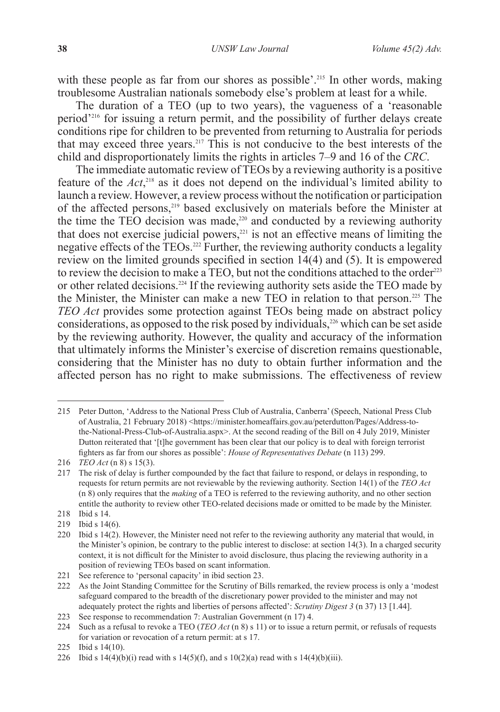with these people as far from our shores as possible'.<sup>215</sup> In other words, making troublesome Australian nationals somebody else's problem at least for a while.

The duration of a TEO (up to two years), the vagueness of a 'reasonable period'216 for issuing a return permit, and the possibility of further delays create conditions ripe for children to be prevented from returning to Australia for periods that may exceed three years.217 This is not conducive to the best interests of the child and disproportionately limits the rights in articles 7–9 and 16 of the *CRC*.

The immediate automatic review of TEOs by a reviewing authority is a positive feature of the *Act*, <sup>218</sup> as it does not depend on the individual's limited ability to launch a review. However, a review process without the notification or participation of the affected persons,<sup>219</sup> based exclusively on materials before the Minister at the time the TEO decision was made,<sup>220</sup> and conducted by a reviewing authority that does not exercise judicial powers, $221$  is not an effective means of limiting the negative effects of the TEOs.<sup>222</sup> Further, the reviewing authority conducts a legality review on the limited grounds specified in section 14(4) and (5). It is empowered to review the decision to make a TEO, but not the conditions attached to the order<sup>223</sup> or other related decisions.224 If the reviewing authority sets aside the TEO made by the Minister, the Minister can make a new TEO in relation to that person.225 The *TEO Act* provides some protection against TEOs being made on abstract policy considerations, as opposed to the risk posed by individuals,<sup>226</sup> which can be set aside by the reviewing authority. However, the quality and accuracy of the information that ultimately informs the Minister's exercise of discretion remains questionable, considering that the Minister has no duty to obtain further information and the affected person has no right to make submissions. The effectiveness of review

<sup>215</sup> Peter Dutton, 'Address to the National Press Club of Australia, Canberra' (Speech, National Press Club of Australia, 21 February 2018) <https://minister.homeaffairs.gov.au/peterdutton/Pages/Address-tothe-National-Press-Club-of-Australia.aspx>. At the second reading of the Bill on 4 July 2019, Minister Dutton reiterated that '[t]he government has been clear that our policy is to deal with foreign terrorist fighters as far from our shores as possible': *House of Representatives Debate* (n 113) 299.

<sup>216</sup> *TEO Act* (n 8) s 15(3).

<sup>217</sup> The risk of delay is further compounded by the fact that failure to respond, or delays in responding, to requests for return permits are not reviewable by the reviewing authority. Section 14(1) of the *TEO Act*  (n 8) only requires that the *making* of a TEO is referred to the reviewing authority, and no other section entitle the authority to review other TEO-related decisions made or omitted to be made by the Minister.

<sup>218</sup> Ibid s 14.

<sup>219</sup> Ibid s 14(6).

<sup>220</sup> Ibid s 14(2). However, the Minister need not refer to the reviewing authority any material that would, in the Minister's opinion, be contrary to the public interest to disclose: at section 14(3). In a charged security context, it is not difficult for the Minister to avoid disclosure, thus placing the reviewing authority in a position of reviewing TEOs based on scant information.

<sup>221</sup> See reference to 'personal capacity' in ibid section 23.

<sup>222</sup> As the Joint Standing Committee for the Scrutiny of Bills remarked, the review process is only a 'modest safeguard compared to the breadth of the discretionary power provided to the minister and may not adequately protect the rights and liberties of persons affected': *Scrutiny Digest 3* (n 37) 13 [1.44].

<sup>223</sup> See response to recommendation 7: Australian Government (n 17) 4.

<sup>224</sup> Such as a refusal to revoke a TEO (*TEO Act* (n 8) s 11) or to issue a return permit, or refusals of requests for variation or revocation of a return permit: at s 17.

<sup>225</sup> Ibid s 14(10).

<sup>226</sup> Ibid s  $14(4)(b)(i)$  read with s  $14(5)(f)$ , and s  $10(2)(a)$  read with s  $14(4)(b)(iii)$ .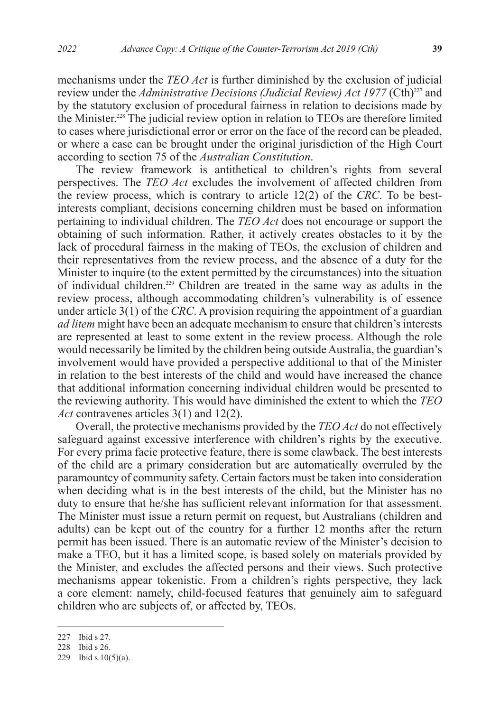mechanisms under the *TEO Act* is further diminished by the exclusion of judicial review under the *Administrative Decisions (Judicial Review) Act 1977* (Cth)<sup>227</sup> and by the statutory exclusion of procedural fairness in relation to decisions made by the Minister.228 The judicial review option in relation to TEOs are therefore limited to cases where jurisdictional error or error on the face of the record can be pleaded, or where a case can be brought under the original jurisdiction of the High Court according to section 75 of the *Australian Constitution*.

The review framework is antithetical to children's rights from several perspectives. The *TEO Act* excludes the involvement of affected children from the review process, which is contrary to article 12(2) of the *CRC*. To be bestinterests compliant, decisions concerning children must be based on information pertaining to individual children. The *TEO Act* does not encourage or support the obtaining of such information. Rather, it actively creates obstacles to it by the lack of procedural fairness in the making of TEOs, the exclusion of children and their representatives from the review process, and the absence of a duty for the Minister to inquire (to the extent permitted by the circumstances) into the situation of individual children.229 Children are treated in the same way as adults in the review process, although accommodating children's vulnerability is of essence under article 3(1) of the *CRC*. A provision requiring the appointment of a guardian *ad litem* might have been an adequate mechanism to ensure that children's interests are represented at least to some extent in the review process. Although the role would necessarily be limited by the children being outside Australia, the guardian's involvement would have provided a perspective additional to that of the Minister in relation to the best interests of the child and would have increased the chance that additional information concerning individual children would be presented to the reviewing authority. This would have diminished the extent to which the *TEO Act* contravenes articles 3(1) and 12(2).

Overall, the protective mechanisms provided by the *TEO Act* do not effectively safeguard against excessive interference with children's rights by the executive. For every prima facie protective feature, there is some clawback. The best interests of the child are a primary consideration but are automatically overruled by the paramountcy of community safety. Certain factors must be taken into consideration when deciding what is in the best interests of the child, but the Minister has no duty to ensure that he/she has sufficient relevant information for that assessment. The Minister must issue a return permit on request, but Australians (children and adults) can be kept out of the country for a further 12 months after the return permit has been issued. There is an automatic review of the Minister's decision to make a TEO, but it has a limited scope, is based solely on materials provided by the Minister, and excludes the affected persons and their views. Such protective mechanisms appear tokenistic. From a children's rights perspective, they lack a core element: namely, child-focused features that genuinely aim to safeguard children who are subjects of, or affected by, TEOs.

<sup>227</sup> Ibid s 27.

<sup>228</sup> Ibid s 26.

<sup>229</sup> Ibid s 10(5)(a).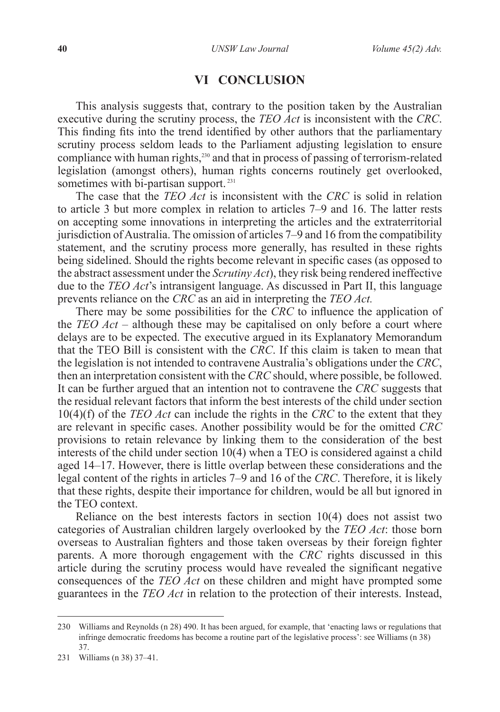### **VI CONCLUSION**

This analysis suggests that, contrary to the position taken by the Australian executive during the scrutiny process, the *TEO Act* is inconsistent with the *CRC*. This finding fits into the trend identified by other authors that the parliamentary scrutiny process seldom leads to the Parliament adjusting legislation to ensure compliance with human rights, $230$  and that in process of passing of terrorism-related legislation (amongst others), human rights concerns routinely get overlooked, sometimes with bi-partisan support.<sup>231</sup>

The case that the *TEO Act* is inconsistent with the *CRC* is solid in relation to article 3 but more complex in relation to articles 7–9 and 16. The latter rests on accepting some innovations in interpreting the articles and the extraterritorial jurisdiction of Australia. The omission of articles 7–9 and 16 from the compatibility statement, and the scrutiny process more generally, has resulted in these rights being sidelined. Should the rights become relevant in specific cases (as opposed to the abstract assessment under the *Scrutiny Act*), they risk being rendered ineffective due to the *TEO Act*'s intransigent language. As discussed in Part II, this language prevents reliance on the *CRC* as an aid in interpreting the *TEO Act.*

There may be some possibilities for the *CRC* to influence the application of the *TEO Act* – although these may be capitalised on only before a court where delays are to be expected. The executive argued in its Explanatory Memorandum that the TEO Bill is consistent with the *CRC*. If this claim is taken to mean that the legislation is not intended to contravene Australia's obligations under the *CRC*, then an interpretation consistent with the *CRC* should, where possible, be followed. It can be further argued that an intention not to contravene the *CRC* suggests that the residual relevant factors that inform the best interests of the child under section 10(4)(f) of the *TEO Act* can include the rights in the *CRC* to the extent that they are relevant in specific cases. Another possibility would be for the omitted *CRC* provisions to retain relevance by linking them to the consideration of the best interests of the child under section 10(4) when a TEO is considered against a child aged 14–17. However, there is little overlap between these considerations and the legal content of the rights in articles 7–9 and 16 of the *CRC*. Therefore, it is likely that these rights, despite their importance for children, would be all but ignored in the TEO context.

Reliance on the best interests factors in section 10(4) does not assist two categories of Australian children largely overlooked by the *TEO Act*: those born overseas to Australian fighters and those taken overseas by their foreign fighter parents. A more thorough engagement with the *CRC* rights discussed in this article during the scrutiny process would have revealed the significant negative consequences of the *TEO Act* on these children and might have prompted some guarantees in the *TEO Act* in relation to the protection of their interests. Instead,

<sup>230</sup> Williams and Reynolds (n 28) 490. It has been argued, for example, that 'enacting laws or regulations that infringe democratic freedoms has become a routine part of the legislative process': see Williams (n 38) 37.

<sup>231</sup> Williams (n 38) 37–41.